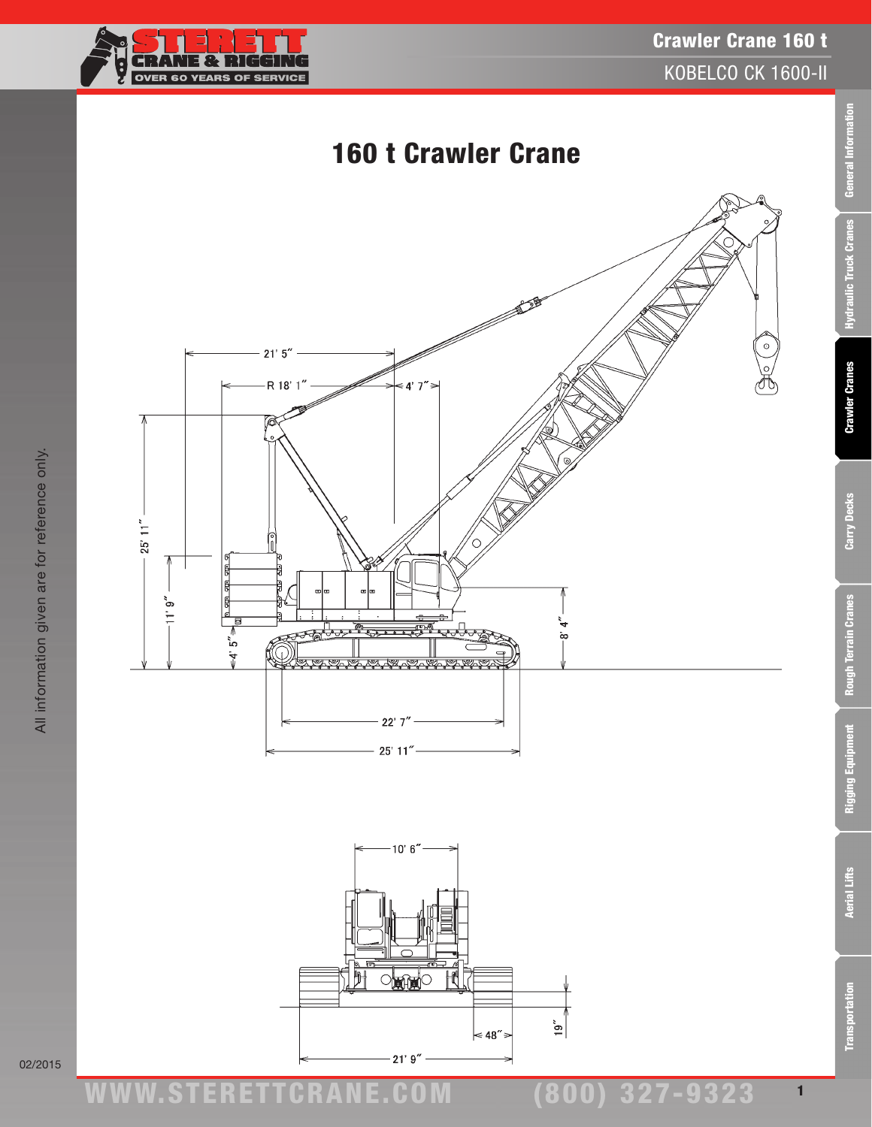



All information given are for reference only.

All information given are for reference only.



02/2015

ww.TDKv.com

1

Rigging Equipment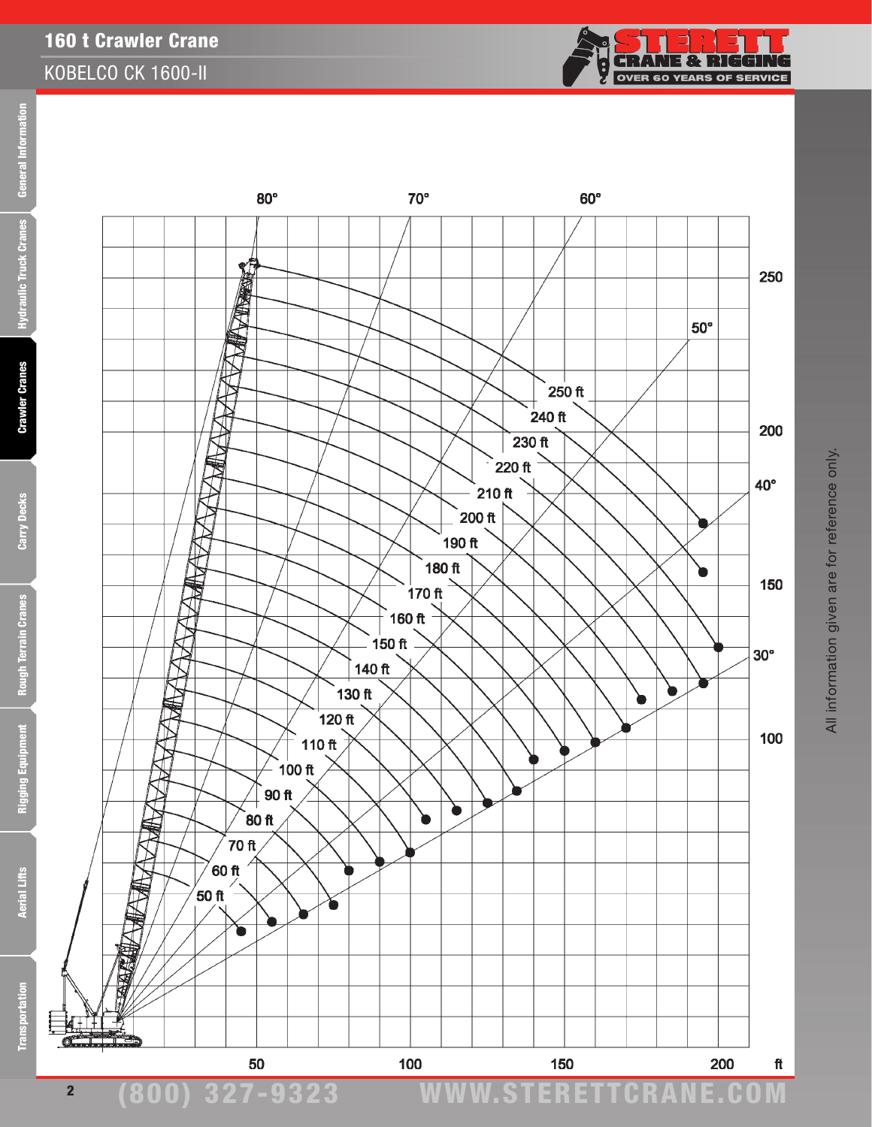**General Information** 

**Hydraulic Truck Cranes** 

**Crawler Cranes** 

**Carry Decks** 

Rough Terrain Cranes

**Rigging Equipment** 



2



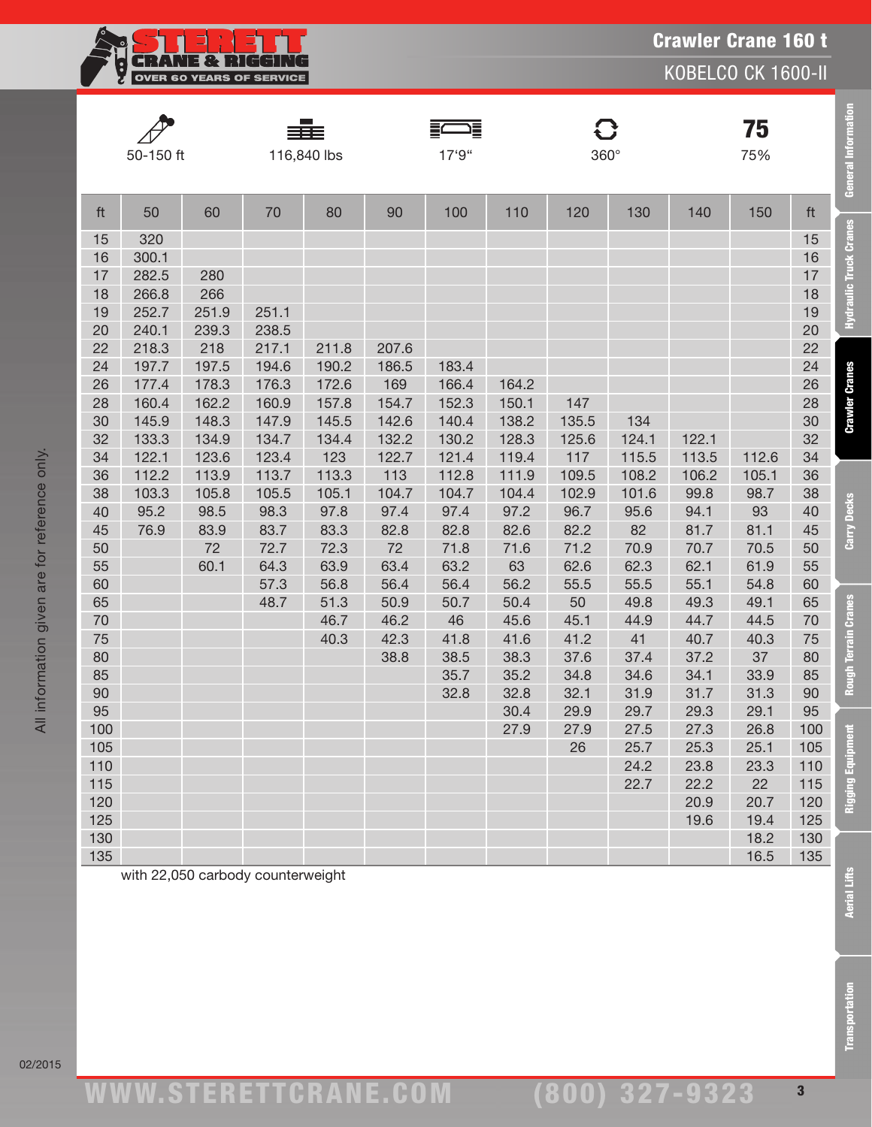

KOBELCO CK 1600-II

**General Information** 

**Hydraulic Truck Cranes** 

**Crawler Cranes** 

Carry Decks

**Rough Terrain Cranes** 

**Rigging Equipment** 

| 50-150 ft |       |       |       | ≡Ē≣<br>116,840 lbs |       | 三十二<br>17'9" |       | $\mathbf G$<br>360° |       |       | 75<br>75% |     |
|-----------|-------|-------|-------|--------------------|-------|--------------|-------|---------------------|-------|-------|-----------|-----|
| ft        | 50    | 60    | 70    | 80                 | 90    | 100          | 110   | 120                 | 130   | 140   | 150       | ft  |
| 15        | 320   |       |       |                    |       |              |       |                     |       |       |           | 15  |
| 16        | 300.1 |       |       |                    |       |              |       |                     |       |       |           | 16  |
| 17        | 282.5 | 280   |       |                    |       |              |       |                     |       |       |           | 17  |
| 18        | 266.8 | 266   |       |                    |       |              |       |                     |       |       |           | 18  |
| 19        | 252.7 | 251.9 | 251.1 |                    |       |              |       |                     |       |       |           | 19  |
| 20        | 240.1 | 239.3 | 238.5 |                    |       |              |       |                     |       |       |           | 20  |
| 22        | 218.3 | 218   | 217.1 | 211.8              | 207.6 |              |       |                     |       |       |           | 22  |
| 24        | 197.7 | 197.5 | 194.6 | 190.2              | 186.5 | 183.4        |       |                     |       |       |           | 24  |
| 26        | 177.4 | 178.3 | 176.3 | 172.6              | 169   | 166.4        | 164.2 |                     |       |       |           | 26  |
| 28        | 160.4 | 162.2 | 160.9 | 157.8              | 154.7 | 152.3        | 150.1 | 147                 |       |       |           | 28  |
| 30        | 145.9 | 148.3 | 147.9 | 145.5              | 142.6 | 140.4        | 138.2 | 135.5               | 134   |       |           | 30  |
| 32        | 133.3 | 134.9 | 134.7 | 134.4              | 132.2 | 130.2        | 128.3 | 125.6               | 124.1 | 122.1 |           | 32  |
| 34        | 122.1 | 123.6 | 123.4 | 123                | 122.7 | 121.4        | 119.4 | 117                 | 115.5 | 113.5 | 112.6     | 34  |
| 36        | 112.2 | 113.9 | 113.7 | 113.3              | 113   | 112.8        | 111.9 | 109.5               | 108.2 | 106.2 | 105.1     | 36  |
| 38        | 103.3 | 105.8 | 105.5 | 105.1              | 104.7 | 104.7        | 104.4 | 102.9               | 101.6 | 99.8  | 98.7      | 38  |
| 40        | 95.2  | 98.5  | 98.3  | 97.8               | 97.4  | 97.4         | 97.2  | 96.7                | 95.6  | 94.1  | 93        | 40  |
| 45        | 76.9  | 83.9  | 83.7  | 83.3               | 82.8  | 82.8         | 82.6  | 82.2                | 82    | 81.7  | 81.1      | 45  |
| 50        |       | 72    | 72.7  | 72.3               | 72    | 71.8         | 71.6  | 71.2                | 70.9  | 70.7  | 70.5      | 50  |
| 55        |       | 60.1  | 64.3  | 63.9               | 63.4  | 63.2         | 63    | 62.6                | 62.3  | 62.1  | 61.9      | 55  |
| 60        |       |       | 57.3  | 56.8               | 56.4  | 56.4         | 56.2  | 55.5                | 55.5  | 55.1  | 54.8      | 60  |
| 65        |       |       | 48.7  | 51.3               | 50.9  | 50.7         | 50.4  | 50                  | 49.8  | 49.3  | 49.1      | 65  |
| 70        |       |       |       | 46.7               | 46.2  | 46           | 45.6  | 45.1                | 44.9  | 44.7  | 44.5      | 70  |
| 75        |       |       |       | 40.3               | 42.3  | 41.8         | 41.6  | 41.2                | 41    | 40.7  | 40.3      | 75  |
| 80        |       |       |       |                    | 38.8  | 38.5         | 38.3  | 37.6                | 37.4  | 37.2  | 37        | 80  |
| 85        |       |       |       |                    |       | 35.7         | 35.2  | 34.8                | 34.6  | 34.1  | 33.9      | 85  |
| 90        |       |       |       |                    |       | 32.8         | 32.8  | 32.1                | 31.9  | 31.7  | 31.3      | 90  |
| 95        |       |       |       |                    |       |              | 30.4  | 29.9                | 29.7  | 29.3  | 29.1      | 95  |
| 100       |       |       |       |                    |       |              | 27.9  | 27.9                | 27.5  | 27.3  | 26.8      | 100 |
| 105       |       |       |       |                    |       |              |       | 26                  | 25.7  | 25.3  | 25.1      | 105 |
| 110       |       |       |       |                    |       |              |       |                     | 24.2  | 23.8  | 23.3      | 110 |
| 115       |       |       |       |                    |       |              |       |                     | 22.7  | 22.2  | 22        | 115 |
| 120       |       |       |       |                    |       |              |       |                     |       | 20.9  | 20.7      | 120 |
| 125       |       |       |       |                    |       |              |       |                     |       | 19.6  | 19.4      | 125 |
| 130       |       |       |       |                    |       |              |       |                     |       |       | 18.2      | 130 |
| 135       |       |       |       |                    |       |              |       |                     |       |       | 16.5      | 135 |

with 22,050 carbody counterweight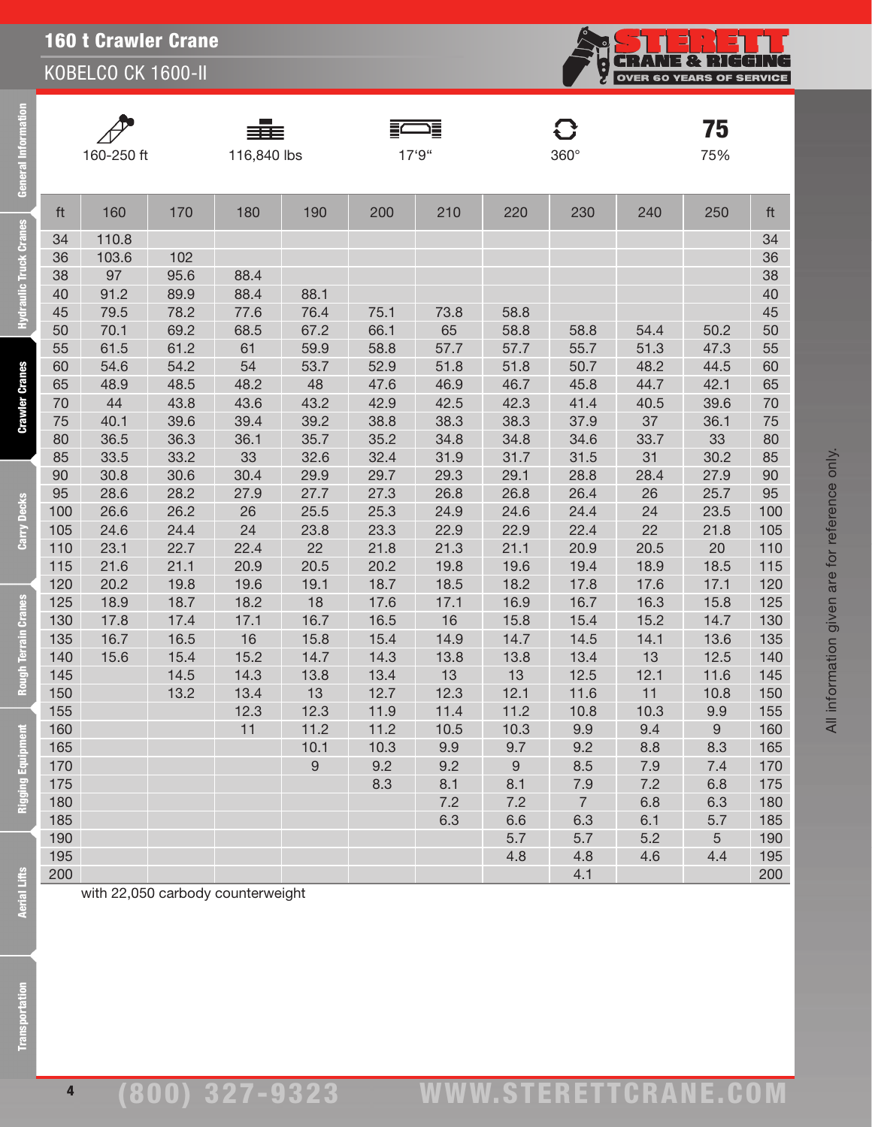KOBELCO CK 1600-II



| $\mathscr{P}$ |
|---------------|
| 160-250       |
|               |

**E** 

lie Truck

**Crawler Cranes** 

Carry Decks

Terrain Cranes

Rou

-<br>-250 ft 116,840 lbs 17'9" 360°

FWE

G

**75**<br>75%

| ft  | 160   | 170  | 180  | 190              | 200  | 210  | 220              | 230            | 240  | 250  | ft  |
|-----|-------|------|------|------------------|------|------|------------------|----------------|------|------|-----|
| 34  | 110.8 |      |      |                  |      |      |                  |                |      |      | 34  |
| 36  | 103.6 | 102  |      |                  |      |      |                  |                |      |      | 36  |
| 38  | 97    | 95.6 | 88.4 |                  |      |      |                  |                |      |      | 38  |
| 40  | 91.2  | 89.9 | 88.4 | 88.1             |      |      |                  |                |      |      | 40  |
| 45  | 79.5  | 78.2 | 77.6 | 76.4             | 75.1 | 73.8 | 58.8             |                |      |      | 45  |
| 50  | 70.1  | 69.2 | 68.5 | 67.2             | 66.1 | 65   | 58.8             | 58.8           | 54.4 | 50.2 | 50  |
| 55  | 61.5  | 61.2 | 61   | 59.9             | 58.8 | 57.7 | 57.7             | 55.7           | 51.3 | 47.3 | 55  |
| 60  | 54.6  | 54.2 | 54   | 53.7             | 52.9 | 51.8 | 51.8             | 50.7           | 48.2 | 44.5 | 60  |
| 65  | 48.9  | 48.5 | 48.2 | 48               | 47.6 | 46.9 | 46.7             | 45.8           | 44.7 | 42.1 | 65  |
| 70  | 44    | 43.8 | 43.6 | 43.2             | 42.9 | 42.5 | 42.3             | 41.4           | 40.5 | 39.6 | 70  |
| 75  | 40.1  | 39.6 | 39.4 | 39.2             | 38.8 | 38.3 | 38.3             | 37.9           | 37   | 36.1 | 75  |
| 80  | 36.5  | 36.3 | 36.1 | 35.7             | 35.2 | 34.8 | 34.8             | 34.6           | 33.7 | 33   | 80  |
| 85  | 33.5  | 33.2 | 33   | 32.6             | 32.4 | 31.9 | 31.7             | 31.5           | 31   | 30.2 | 85  |
| 90  | 30.8  | 30.6 | 30.4 | 29.9             | 29.7 | 29.3 | 29.1             | 28.8           | 28.4 | 27.9 | 90  |
| 95  | 28.6  | 28.2 | 27.9 | 27.7             | 27.3 | 26.8 | 26.8             | 26.4           | 26   | 25.7 | 95  |
| 100 | 26.6  | 26.2 | 26   | 25.5             | 25.3 | 24.9 | 24.6             | 24.4           | 24   | 23.5 | 100 |
| 105 | 24.6  | 24.4 | 24   | 23.8             | 23.3 | 22.9 | 22.9             | 22.4           | 22   | 21.8 | 105 |
| 110 | 23.1  | 22.7 | 22.4 | 22               | 21.8 | 21.3 | 21.1             | 20.9           | 20.5 | 20   | 110 |
| 115 | 21.6  | 21.1 | 20.9 | 20.5             | 20.2 | 19.8 | 19.6             | 19.4           | 18.9 | 18.5 | 115 |
| 120 | 20.2  | 19.8 | 19.6 | 19.1             | 18.7 | 18.5 | 18.2             | 17.8           | 17.6 | 17.1 | 120 |
| 125 | 18.9  | 18.7 | 18.2 | 18               | 17.6 | 17.1 | 16.9             | 16.7           | 16.3 | 15.8 | 125 |
| 130 | 17.8  | 17.4 | 17.1 | 16.7             | 16.5 | 16   | 15.8             | 15.4           | 15.2 | 14.7 | 130 |
| 135 | 16.7  | 16.5 | 16   | 15.8             | 15.4 | 14.9 | 14.7             | 14.5           | 14.1 | 13.6 | 135 |
| 140 | 15.6  | 15.4 | 15.2 | 14.7             | 14.3 | 13.8 | 13.8             | 13.4           | 13   | 12.5 | 140 |
| 145 |       | 14.5 | 14.3 | 13.8             | 13.4 | 13   | 13               | 12.5           | 12.1 | 11.6 | 145 |
| 150 |       | 13.2 | 13.4 | 13               | 12.7 | 12.3 | 12.1             | 11.6           | 11   | 10.8 | 150 |
| 155 |       |      | 12.3 | 12.3             | 11.9 | 11.4 | 11.2             | 10.8           | 10.3 | 9.9  | 155 |
| 160 |       |      | 11   | 11.2             | 11.2 | 10.5 | 10.3             | 9.9            | 9.4  | 9    | 160 |
| 165 |       |      |      | 10.1             | 10.3 | 9.9  | 9.7              | 9.2            | 8.8  | 8.3  | 165 |
| 170 |       |      |      | $\boldsymbol{9}$ | 9.2  | 9.2  | $\boldsymbol{9}$ | 8.5            | 7.9  | 7.4  | 170 |
| 175 |       |      |      |                  | 8.3  | 8.1  | 8.1              | 7.9            | 7.2  | 6.8  | 175 |
| 180 |       |      |      |                  |      | 7.2  | 7.2              | $\overline{7}$ | 6.8  | 6.3  | 180 |
| 185 |       |      |      |                  |      | 6.3  | 6.6              | 6.3            | 6.1  | 5.7  | 185 |
| 190 |       |      |      |                  |      |      | 5.7              | 5.7            | 5.2  | 5    | 190 |
| 195 |       |      |      |                  |      |      | 4.8              | 4.8            | 4.6  | 4.4  | 195 |
| 200 |       |      |      |                  |      |      |                  | 4.1            |      |      | 200 |

All information given are for reference only.

All information given are for reference only.

with 22,050 carbody counterweight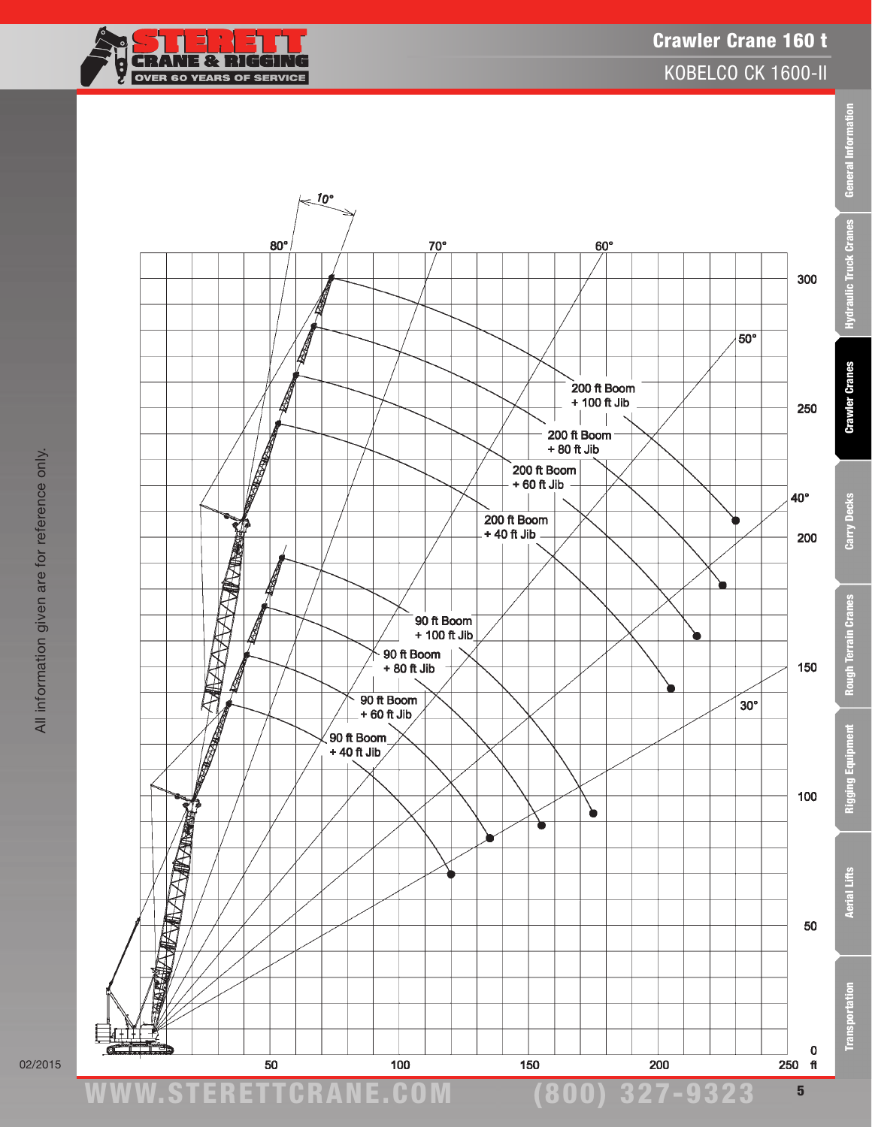

#### Crawler Crane 160 t KOBELCO CK 1600-II





All information given are for reference only.

All information given are for reference only.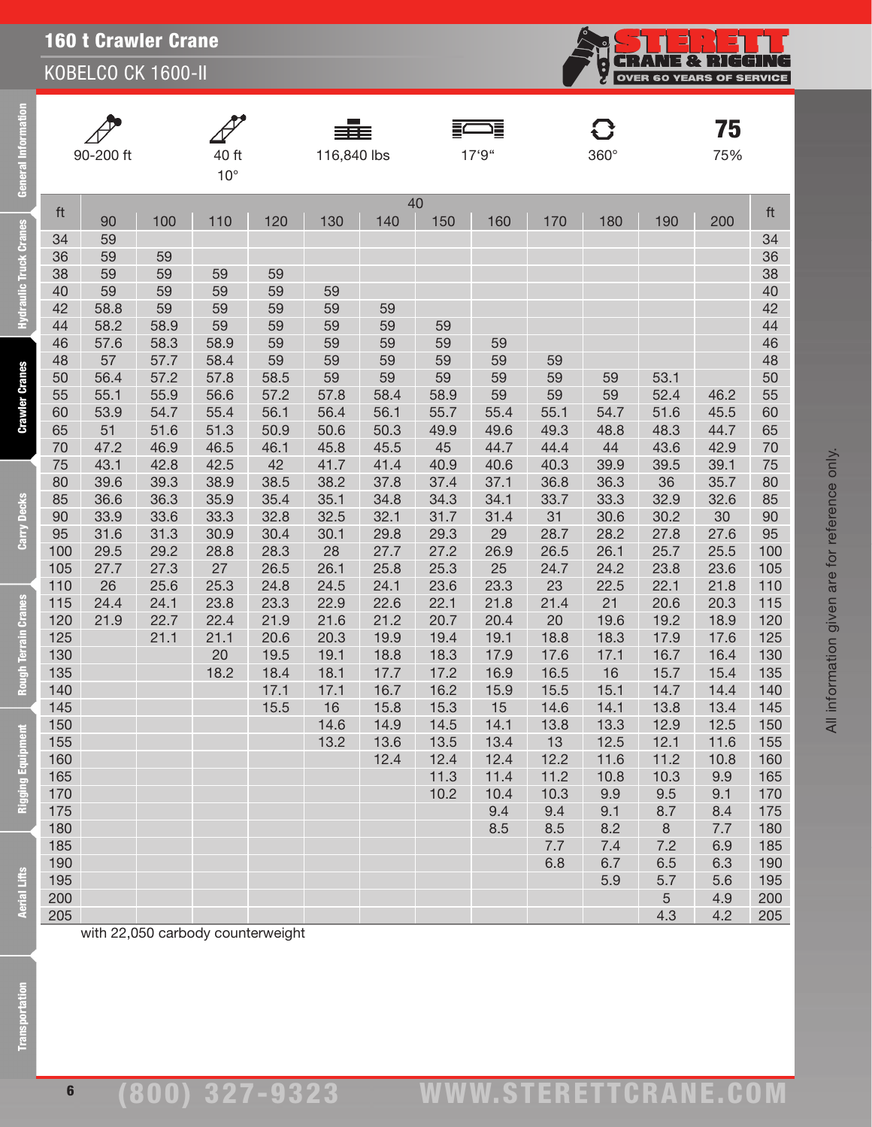KOBELCO CK 1600-II

| General               |            | 90-200 ft  |              | 40 ft<br>$10^{\circ}$             |            | 116,840 lbs |          |          | 17'9"      |            | C<br>$360^\circ$ |          | 75<br>75%  |            |
|-----------------------|------------|------------|--------------|-----------------------------------|------------|-------------|----------|----------|------------|------------|------------------|----------|------------|------------|
|                       | ft         |            |              |                                   |            |             | 40       |          |            |            |                  |          |            | ft         |
|                       |            | 90         | 100          | 110                               | 120        | 130         | 140      | 150      | 160        | 170        | 180              | 190      | 200        |            |
|                       | 34         | 59         |              |                                   |            |             |          |          |            |            |                  |          |            | 34         |
|                       | 36         | 59         | 59           |                                   |            |             |          |          |            |            |                  |          |            | 36         |
|                       | 38         | 59         | 59           | 59                                | 59         |             |          |          |            |            |                  |          |            | 38         |
| draulic Truck Cranes  | 40         | 59         | 59           | 59                                | 59         | 59          |          |          |            |            |                  |          |            | 40         |
| È                     | 42         | 58.8       | 59           | 59                                | 59         | 59          | 59       |          |            |            |                  |          |            | 42         |
|                       | 44         | 58.2       | 58.9         | 59                                | 59         | 59          | 59       | 59       |            |            |                  |          |            | 44         |
|                       | 46         | 57.6       | 58.3         | 58.9                              | 59         | 59          | 59       | 59       | 59         |            |                  |          |            | 46         |
|                       | 48         | 57<br>56.4 | 57.7<br>57.2 | 58.4<br>57.8                      | 59<br>58.5 | 59<br>59    | 59<br>59 | 59<br>59 | 59         | 59<br>59   | 59               | 53.1     |            | 48<br>50   |
| <b>Crawler Cranes</b> | 50<br>55   | 55.1       | 55.9         | 56.6                              | 57.2       | 57.8        | 58.4     | 58.9     | 59<br>59   | 59         | 59               | 52.4     | 46.2       | 55         |
|                       | 60         | 53.9       | 54.7         | 55.4                              | 56.1       | 56.4        | 56.1     | 55.7     | 55.4       | 55.1       | 54.7             | 51.6     | 45.5       | 60         |
|                       | 65         | 51         | 51.6         | 51.3                              | 50.9       | 50.6        | 50.3     | 49.9     | 49.6       | 49.3       | 48.8             | 48.3     | 44.7       | 65         |
|                       | 70         | 47.2       | 46.9         | 46.5                              | 46.1       | 45.8        | 45.5     | 45       | 44.7       | 44.4       | 44               | 43.6     | 42.9       | 70         |
|                       | 75         | 43.1       | 42.8         | 42.5                              | 42         | 41.7        | 41.4     | 40.9     | 40.6       | 40.3       | 39.9             | 39.5     | 39.1       | 75         |
|                       | 80         | 39.6       | 39.3         | 38.9                              | 38.5       | 38.2        | 37.8     | 37.4     | 37.1       | 36.8       | 36.3             | 36       | 35.7       | 80         |
|                       | 85         | 36.6       | 36.3         | 35.9                              | 35.4       | 35.1        | 34.8     | 34.3     | 34.1       | 33.7       | 33.3             | 32.9     | 32.6       | 85         |
|                       | 90         | 33.9       | 33.6         | 33.3                              | 32.8       | 32.5        | 32.1     | 31.7     | 31.4       | 31         | 30.6             | 30.2     | 30         | 90         |
| Carry Decks           | 95         | 31.6       | 31.3         | 30.9                              | 30.4       | 30.1        | 29.8     | 29.3     | 29         | 28.7       | 28.2             | 27.8     | 27.6       | 95         |
|                       | 100        | 29.5       | 29.2         | 28.8                              | 28.3       | 28          | 27.7     | 27.2     | 26.9       | 26.5       | 26.1             | 25.7     | 25.5       | 100        |
|                       | 105        | 27.7       | 27.3         | 27                                | 26.5       | 26.1        | 25.8     | 25.3     | 25         | 24.7       | 24.2             | 23.8     | 23.6       | 105        |
|                       | 110        | 26         | 25.6         | 25.3                              | 24.8       | 24.5        | 24.1     | 23.6     | 23.3       | 23         | 22.5             | 22.1     | 21.8       | 110        |
|                       | 115        | 24.4       | 24.1         | 23.8                              | 23.3       | 22.9        | 22.6     | 22.1     | 21.8       | 21.4       | 21               | 20.6     | 20.3       | 115        |
|                       | 120        | 21.9       | 22.7         | 22.4                              | 21.9       | 21.6        | 21.2     | 20.7     | 20.4       | 20         | 19.6             | 19.2     | 18.9       | 120        |
|                       | 125        |            | 21.1         | 21.1                              | 20.6       | 20.3        | 19.9     | 19.4     | 19.1       | 18.8       | 18.3             | 17.9     | 17.6       | 125        |
| Rough Terrain Cranes  | 130        |            |              | 20                                | 19.5       | 19.1        | 18.8     | 18.3     | 17.9       | 17.6       | 17.1             | 16.7     | 16.4       | 130        |
|                       | 135        |            |              | 18.2                              | 18.4       | 18.1        | 17.7     | 17.2     | 16.9       | 16.5       | 16               | 15.7     | 15.4       | 135        |
|                       | 140        |            |              |                                   | 17.1       | 17.1        | 16.7     | 16.2     | 15.9       | 15.5       | 15.1             | 14.7     | 14.4       | 140        |
|                       | 145        |            |              |                                   | 15.5       | 16          | 15.8     | 15.3     | 15         | 14.6       | 14.1             | 13.8     | 13.4       | 145        |
|                       | 150        |            |              |                                   |            | 14.6        | 14.9     | 14.5     | 14.1       | 13.8       | 13.3             | 12.9     | 12.5       | 150        |
|                       | 155        |            |              |                                   |            | 13.2        | 13.6     | 13.5     | 13.4       | 13         | 12.5             | 12.1     | 11.6       | 155        |
| Rigging Equipment     | 160        |            |              |                                   |            |             | 12.4     | 12.4     | 12.4       | 12.2       | 11.6             | 11.2     | 10.8       | 160        |
|                       | 165        |            |              |                                   |            |             |          | 11.3     | 11.4       | 11.2       | 10.8             | 10.3     | 9.9        | 165        |
|                       | 170        |            |              |                                   |            |             |          | 10.2     | 10.4       | 10.3       | 9.9              | 9.5      | 9.1        | 170        |
|                       | 175<br>180 |            |              |                                   |            |             |          |          | 9.4<br>8.5 | 9.4        | 9.1<br>8.2       | 8.7      | 8.4        | 175        |
|                       | 185        |            |              |                                   |            |             |          |          |            | 8.5<br>7.7 | 7.4              | 8<br>7.2 | 7.7<br>6.9 | 180<br>185 |
|                       | 190        |            |              |                                   |            |             |          |          |            | 6.8        | 6.7              | 6.5      | 6.3        | 190        |
|                       | 195        |            |              |                                   |            |             |          |          |            |            | 5.9              | 5.7      | 5.6        | 195        |
| Aerial Lifts          | 200        |            |              |                                   |            |             |          |          |            |            |                  | 5        | 4.9        | 200        |
|                       | 205        |            |              |                                   |            |             |          |          |            |            |                  | 4.3      | 4.2        | 205        |
|                       |            |            |              | with 22,050 carbody counterweight |            |             |          |          |            |            |                  |          |            |            |
| ransportation         |            |            |              |                                   |            |             |          |          |            |            |                  |          |            |            |

**CRANE & RIGGING**<br>OVER 60 YEARS OF SERVICE

်<br>မ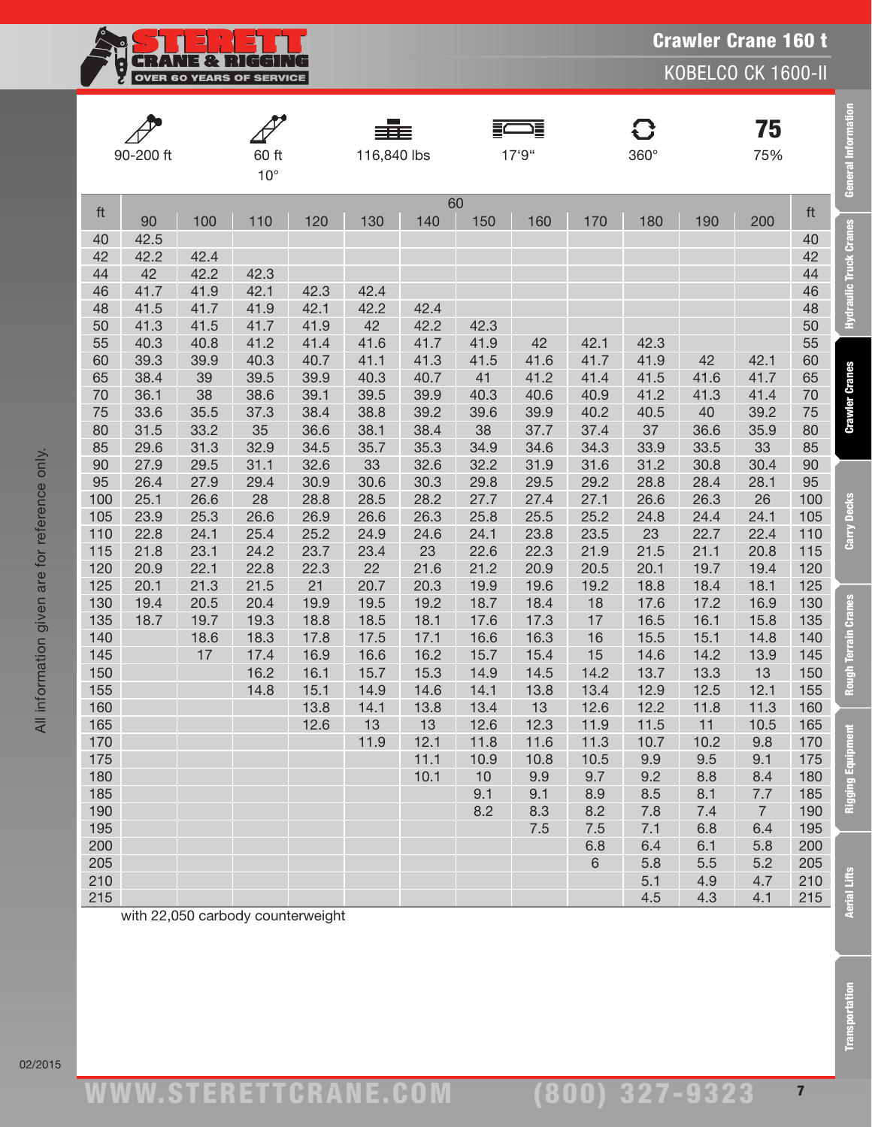**CRANE & RIGGING**<br>OVER 60 YEARS OF SERVICE Ę

KOBELCO CK 1600-II

|            | 90-200 ft    | 60 ft<br>$10^{\circ}$ |                                   |              | ≡≡≡<br>116,840 lbs |              |              | 這<br>17'9"   |              | $\mathbf G$<br>360° |              | 75<br>75%             |            | General Information           |
|------------|--------------|-----------------------|-----------------------------------|--------------|--------------------|--------------|--------------|--------------|--------------|---------------------|--------------|-----------------------|------------|-------------------------------|
| ft         |              |                       |                                   |              |                    |              | 60           |              |              |                     |              |                       | ft         |                               |
|            | 90           | 100                   | 110                               | 120          | 130                | 140          | 150          | 160          | 170          | 180                 | 190          | 200                   |            |                               |
| 40<br>42   | 42.5<br>42.2 | 42.4                  |                                   |              |                    |              |              |              |              |                     |              |                       | 40<br>42   |                               |
| 44         | 42           | 42.2                  | 42.3                              |              |                    |              |              |              |              |                     |              |                       | 44         |                               |
| 46         | 41.7         | 41.9                  | 42.1                              | 42.3         | 42.4               |              |              |              |              |                     |              |                       | 46         |                               |
| 48         | 41.5         | 41.7                  | 41.9                              | 42.1         | 42.2               | 42.4         |              |              |              |                     |              |                       | 48         | <b>Hydraulic Truck Cranes</b> |
| 50         | 41.3         | 41.5                  | 41.7                              | 41.9         | 42                 | 42.2         | 42.3         |              |              |                     |              |                       | 50         |                               |
| 55         | 40.3         | 40.8                  | 41.2                              | 41.4         | 41.6               | 41.7         | 41.9         | 42           | 42.1         | 42.3                |              |                       | 55         |                               |
| 60         | 39.3         | 39.9                  | 40.3                              | 40.7         | 41.1               | 41.3         | 41.5         | 41.6         | 41.7         | 41.9                | 42           | 42.1                  | 60         |                               |
| 65         | 38.4         | 39                    | 39.5                              | 39.9         | 40.3               | 40.7         | 41           | 41.2         | 41.4         | 41.5                | 41.6         | 41.7                  | 65         |                               |
| 70         | 36.1         | 38                    | 38.6                              | 39.1         | 39.5               | 39.9         | 40.3         | 40.6         | 40.9         | 41.2                | 41.3         | 41.4                  | 70         | <b>Crawler Cranes</b>         |
| 75<br>80   | 33.6<br>31.5 | 35.5<br>33.2          | 37.3<br>35                        | 38.4<br>36.6 | 38.8<br>38.1       | 39.2<br>38.4 | 39.6<br>38   | 39.9<br>37.7 | 40.2<br>37.4 | 40.5<br>37          | 40<br>36.6   | 39.2<br>35.9          | 75<br>80   |                               |
| 85         | 29.6         | 31.3                  | 32.9                              | 34.5         | 35.7               | 35.3         | 34.9         | 34.6         | 34.3         | 33.9                | 33.5         | 33                    | 85         |                               |
| 90         | 27.9         | 29.5                  | 31.1                              | 32.6         | 33                 | 32.6         | 32.2         | 31.9         | 31.6         | 31.2                | 30.8         | 30.4                  | 90         |                               |
| 95         | 26.4         | 27.9                  | 29.4                              | 30.9         | 30.6               | 30.3         | 29.8         | 29.5         | 29.2         | 28.8                | 28.4         | 28.1                  | 95         |                               |
| 100        | 25.1         | 26.6                  | 28                                | 28.8         | 28.5               | 28.2         | 27.7         | 27.4         | 27.1         | 26.6                | 26.3         | 26                    | 100        |                               |
| 105        | 23.9         | 25.3                  | 26.6                              | 26.9         | 26.6               | 26.3         | 25.8         | 25.5         | 25.2         | 24.8                | 24.4         | 24.1                  | 105        | <b>Carry Decks</b>            |
| 110        | 22.8         | 24.1                  | 25.4                              | 25.2         | 24.9               | 24.6         | 24.1         | 23.8         | 23.5         | 23                  | 22.7         | 22.4                  | 110        |                               |
| 115        | 21.8         | 23.1                  | 24.2                              | 23.7         | 23.4               | 23           | 22.6         | 22.3         | 21.9         | 21.5                | 21.1         | 20.8                  | 115        |                               |
| 120        | 20.9         | 22.1                  | 22.8                              | 22.3         | 22                 | 21.6         | 21.2         | 20.9         | 20.5         | 20.1                | 19.7         | 19.4                  | 120        |                               |
| 125        | 20.1         | 21.3                  | 21.5                              | 21           | 20.7               | 20.3         | 19.9         | 19.6         | 19.2         | 18.8                | 18.4         | 18.1                  | 125        |                               |
| 130<br>135 | 19.4<br>18.7 | 20.5<br>19.7          | 20.4<br>19.3                      | 19.9<br>18.8 | 19.5<br>18.5       | 19.2<br>18.1 | 18.7<br>17.6 | 18.4<br>17.3 | 18<br>17     | 17.6<br>16.5        | 17.2<br>16.1 | 16.9<br>15.8          | 130<br>135 |                               |
| 140        |              | 18.6                  | 18.3                              | 17.8         | 17.5               | 17.1         | 16.6         | 16.3         | 16           | 15.5                | 15.1         | 14.8                  | 140        |                               |
| 145        |              | 17                    | 17.4                              | 16.9         | 16.6               | 16.2         | 15.7         | 15.4         | 15           | 14.6                | 14.2         | 13.9                  | 145        |                               |
| 150        |              |                       | 16.2                              | 16.1         | 15.7               | 15.3         | 14.9         | 14.5         | 14.2         | 13.7                | 13.3         | 13                    | 150        | <b>Rough Terrain Cranes</b>   |
| 155        |              |                       | 14.8                              | 15.1         | 14.9               | 14.6         | 14.1         | 13.8         | 13.4         | 12.9                | 12.5         | 12.1                  | 155        |                               |
| 160        |              |                       |                                   | 13.8         | 14.1               | 13.8         | 13.4         | 13           | 12.6         | 12.2                | 11.8         | 11.3                  | 160        |                               |
| 165        |              |                       |                                   | 12.6         | 13                 | 13           | 12.6         | 12.3         | 11.9         | 11.5                | 11           | 10.5                  | 165        |                               |
| 170        |              |                       |                                   |              | 11.9               | 12.1         | 11.8         | 11.6         | 11.3         | 10.7                | 10.2         | 9.8                   | 170        |                               |
| 175        |              |                       |                                   |              |                    | 11.1         | 10.9         | 10.8         | 10.5         | 9.9                 | 9.5          | 9.1                   | 175        | Rigging Equip                 |
| 180        |              |                       |                                   |              |                    | 10.1         | 10           | 9.9          | 9.7          | 9.2                 | 8.8          | 8.4                   | 180        |                               |
| 185        |              |                       |                                   |              |                    |              | 9.1<br>8.2   | 9.1          | 8.9          | 8.5                 | 8.1          | 7.7                   | 185        |                               |
| 190<br>195 |              |                       |                                   |              |                    |              |              | 8.3<br>7.5   | 8.2<br>7.5   | 7.8<br>7.1          | 7.4<br>6.8   | $\overline{7}$<br>6.4 | 190<br>195 |                               |
| 200        |              |                       |                                   |              |                    |              |              |              | 6.8          | 6.4                 | 6.1          | 5.8                   | 200        |                               |
| 205        |              |                       |                                   |              |                    |              |              |              | 6            | 5.8                 | 5.5          | 5.2                   | 205        |                               |
| 210        |              |                       |                                   |              |                    |              |              |              |              | 5.1                 | 4.9          | 4.7                   | 210        |                               |
| 215        |              |                       |                                   |              |                    |              |              |              |              | 4.5                 | 4.3          | 4.1                   | 215        | <b>Aerial Lifts</b>           |
|            |              |                       | with 22 050 carbody counterweight |              |                    |              |              |              |              |                     |              |                       |            |                               |

with 22,050 carbody counterweight

02/2015

**Transportation** 

Transportation Aerial Lifts Rigging Equipment Rough Terrain Cranes Carry Decks Crawler Cranes Hydraulic Truck Cranes General Information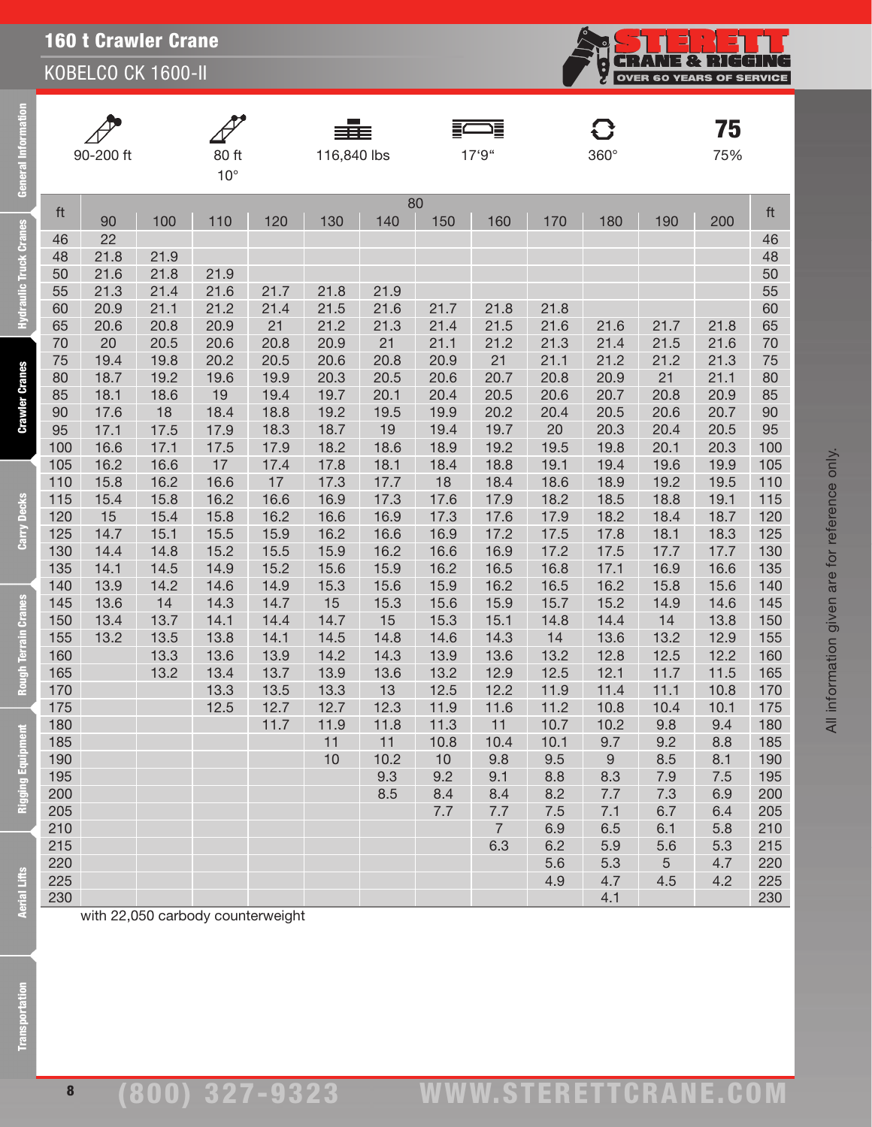KOBELCO CK 1600-II

| ق                     |            | 90-200 ft  |              | 80 ft<br>$10^{\circ}$             |              | 116,840 lbs  |            |              | 17'9"        |              | $\mathbf G$<br>$360^\circ$ |              | 75<br>75%   |            |
|-----------------------|------------|------------|--------------|-----------------------------------|--------------|--------------|------------|--------------|--------------|--------------|----------------------------|--------------|-------------|------------|
|                       | ft         |            |              |                                   |              |              | 80         |              |              |              |                            |              |             | ft         |
|                       |            | 90         | 100          | 110                               | 120          | 130          | 140        | 150          | 160          | 170          | 180                        | 190          | 200         |            |
| raulic Truck Cranes   | 46         | 22         |              |                                   |              |              |            |              |              |              |                            |              |             | 46         |
|                       | 48         | 21.8       | 21.9         |                                   |              |              |            |              |              |              |                            |              |             | 48         |
|                       | 50         | 21.6       | 21.8         | 21.9                              |              |              |            |              |              |              |                            |              |             | 50         |
|                       | 55         | 21.3       | 21.4         | 21.6                              | 21.7         | 21.8         | 21.9       |              |              |              |                            |              |             | 55         |
|                       | 60<br>65   | 20.9       | 21.1<br>20.8 | 21.2<br>20.9                      | 21.4<br>21   | 21.5<br>21.2 | 21.6       | 21.7         | 21.8         | 21.8<br>21.6 |                            |              | 21.8        | 60         |
|                       | 70         | 20.6<br>20 | 20.5         | 20.6                              | 20.8         | 20.9         | 21.3<br>21 | 21.4<br>21.1 | 21.5<br>21.2 | 21.3         | 21.6<br>21.4               | 21.7<br>21.5 | 21.6        | 65<br>70   |
|                       | 75         | 19.4       | 19.8         | 20.2                              | 20.5         | 20.6         | 20.8       | 20.9         | 21           | 21.1         | 21.2                       | 21.2         | 21.3        | 75         |
|                       | 80         | 18.7       | 19.2         | 19.6                              | 19.9         | 20.3         | 20.5       | 20.6         | 20.7         | 20.8         | 20.9                       | 21           | 21.1        | 80         |
| <b>Crawler Cranes</b> | 85         | 18.1       | 18.6         | 19                                | 19.4         | 19.7         | 20.1       | 20.4         | 20.5         | 20.6         | 20.7                       | 20.8         | 20.9        | 85         |
|                       | 90         | 17.6       | 18           | 18.4                              | 18.8         | 19.2         | 19.5       | 19.9         | 20.2         | 20.4         | 20.5                       | 20.6         | 20.7        | 90         |
|                       | 95         | 17.1       | 17.5         | 17.9                              | 18.3         | 18.7         | 19         | 19.4         | 19.7         | 20           | 20.3                       | 20.4         | 20.5        | 95         |
|                       | 100        | 16.6       | 17.1         | 17.5                              | 17.9         | 18.2         | 18.6       | 18.9         | 19.2         | 19.5         | 19.8                       | 20.1         | 20.3        | 100        |
|                       | 105        | 16.2       | 16.6         | 17                                | 17.4         | 17.8         | 18.1       | 18.4         | 18.8         | 19.1         | 19.4                       | 19.6         | 19.9        | 105        |
|                       | 110        | 15.8       | 16.2         | 16.6                              | 17           | 17.3         | 17.7       | 18           | 18.4         | 18.6         | 18.9                       | 19.2         | 19.5        | 110        |
|                       | 115        | 15.4       | 15.8         | 16.2                              | 16.6         | 16.9         | 17.3       | 17.6         | 17.9         | 18.2         | 18.5                       | 18.8         | 19.1        | 115        |
| Carry Decks           | 120        | 15         | 15.4         | 15.8                              | 16.2         | 16.6         | 16.9       | 17.3         | 17.6         | 17.9         | 18.2                       | 18.4         | 18.7        | 120        |
|                       | 125        | 14.7       | 15.1         | 15.5                              | 15.9         | 16.2         | 16.6       | 16.9         | 17.2         | 17.5         | 17.8                       | 18.1         | 18.3        | 125        |
|                       | 130        | 14.4       | 14.8         | 15.2                              | 15.5         | 15.9         | 16.2       | 16.6         | 16.9         | 17.2         | 17.5                       | 17.7         | 17.7        | 130        |
|                       | 135        | 14.1       | 14.5         | 14.9                              | 15.2         | 15.6         | 15.9       | 16.2         | 16.5         | 16.8         | 17.1                       | 16.9         | 16.6        | 135        |
|                       | 140        | 13.9       | 14.2         | 14.6                              | 14.9         | 15.3         | 15.6       | 15.9         | 16.2         | 16.5         | 16.2                       | 15.8         | 15.6        | 140        |
|                       | 145        | 13.6       | 14           | 14.3                              | 14.7         | 15           | 15.3       | 15.6         | 15.9         | 15.7         | 15.2                       | 14.9         | 14.6        | 145        |
|                       | 150        | 13.4       | 13.7         | 14.1                              | 14.4         | 14.7         | 15         | 15.3         | 15.1         | 14.8         | 14.4                       | 14           | 13.8        | 150        |
|                       | 155        | 13.2       | 13.5         | 13.8                              | 14.1         | 14.5         | 14.8       | 14.6         | 14.3         | 14           | 13.6                       | 13.2         | 12.9        | 155        |
|                       | 160        |            | 13.3         | 13.6                              | 13.9         | 14.2         | 14.3       | 13.9         | 13.6         | 13.2         | 12.8                       | 12.5         | 12.2        | 160        |
| Rough Terrain Cranes  | 165        |            | 13.2         | 13.4                              | 13.7         | 13.9         | 13.6       | 13.2         | 12.9         | 12.5         | 12.1                       | 11.7         | 11.5        | 165        |
|                       | 170<br>175 |            |              | 13.3<br>12.5                      | 13.5<br>12.7 | 13.3         | 13<br>12.3 | 12.5<br>11.9 | 12.2         | 11.9<br>11.2 | 11.4                       | 11.1         | 10.8        | 170<br>175 |
|                       | 180        |            |              |                                   | 11.7         | 12.7<br>11.9 | 11.8       | 11.3         | 11.6<br>11   | 10.7         | 10.8<br>10.2               | 10.4<br>9.8  | 10.1<br>9.4 | 180        |
| E                     | 185        |            |              |                                   |              | 11           | 11         | 10.8         | 10.4         | 10.1         | 9.7                        | 9.2          | 8.8         | 185        |
| Rigging Equipm        | 190        |            |              |                                   |              | 10           | 10.2       | 10           | 9.8          | 9.5          | 9                          | 8.5          | 8.1         | 190        |
|                       | 195        |            |              |                                   |              |              | 9.3        | 9.2          | 9.1          | 8.8          | 8.3                        | 7.9          | 7.5         | 195        |
|                       | 200        |            |              |                                   |              |              | 8.5        | 8.4          | 8.4          | 8.2          | 7.7                        | 7.3          | 6.9         | 200        |
|                       | 205        |            |              |                                   |              |              |            | 7.7          | 7.7          | 7.5          | 7.1                        | 6.7          | 6.4         | 205        |
|                       | 210        |            |              |                                   |              |              |            |              | 7            | 6.9          | 6.5                        | 6.1          | 5.8         | 210        |
|                       | 215        |            |              |                                   |              |              |            |              | 6.3          | 6.2          | 5.9                        | 5.6          | 5.3         | 215        |
|                       | 220        |            |              |                                   |              |              |            |              |              | 5.6          | 5.3                        | 5            | 4.7         | 220        |
|                       | 225        |            |              |                                   |              |              |            |              |              | 4.9          | 4.7                        | 4.5          | 4.2         | 225        |
| Aerial Lifts          | 230        |            |              |                                   |              |              |            |              |              |              | 4.1                        |              |             | 230        |
|                       |            |            |              | with 22,050 carbody counterweight |              |              |            |              |              |              |                            |              |             |            |
|                       |            |            |              |                                   |              |              |            |              |              |              |                            |              |             |            |
|                       |            |            |              |                                   |              |              |            |              |              |              |                            |              |             |            |
|                       |            |            |              |                                   |              |              |            |              |              |              |                            |              |             |            |
|                       |            |            |              |                                   |              |              |            |              |              |              |                            |              |             |            |
|                       |            |            |              |                                   |              |              |            |              |              |              |                            |              |             |            |
|                       |            |            |              |                                   |              |              |            |              |              |              |                            |              |             |            |
|                       |            |            |              |                                   |              |              |            |              |              |              |                            |              |             |            |

**CRANE & RIGGING**<br>OVER 60 YEARS OF SERVICE

်<br>မ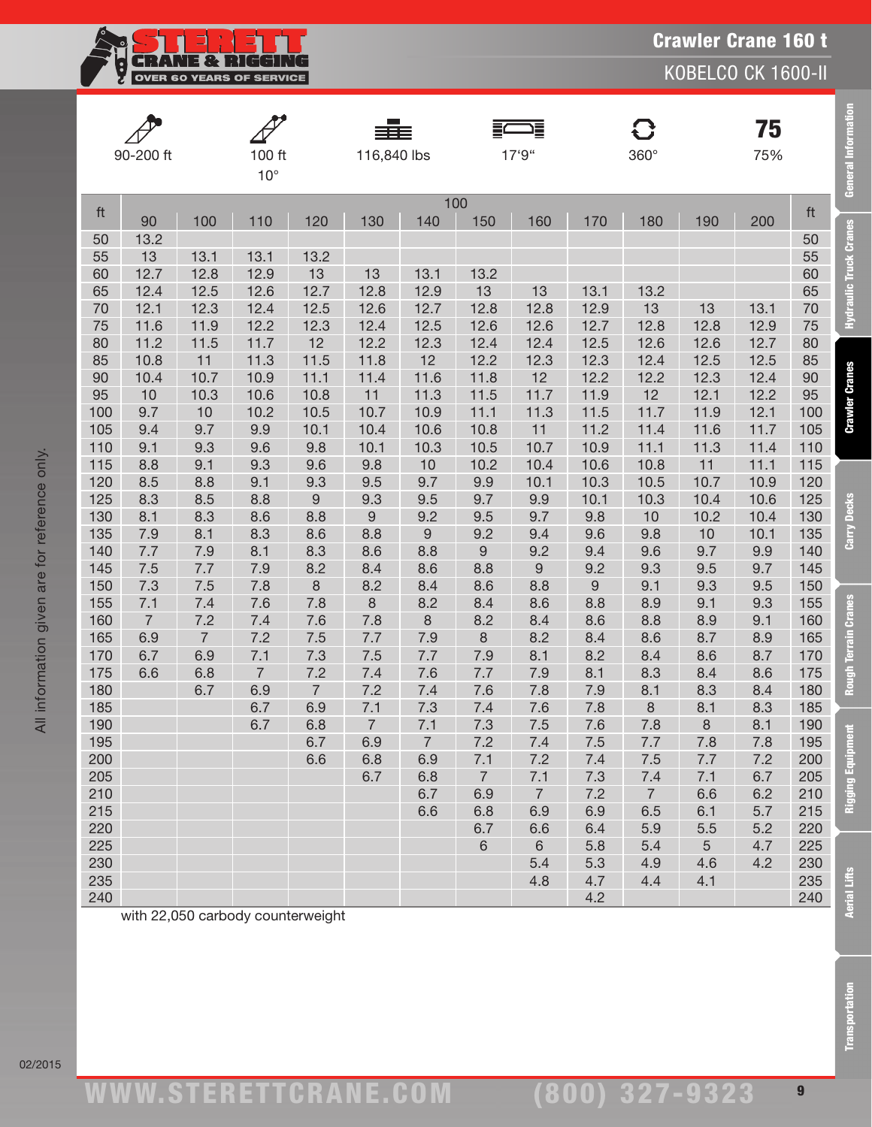**CRANE & RIGGING**<br>OVER 60 YEARS OF SERVICE <u>i</u>

KOBELCO CK 1600-II

|            | 90-200 ft      |                | $100$ ft<br>$10^{\circ}$          |                         | 116,840 lbs             |                |                       | 17'9"                 |             | $360^\circ$           |              | 75<br>75%    |            | General Information    |
|------------|----------------|----------------|-----------------------------------|-------------------------|-------------------------|----------------|-----------------------|-----------------------|-------------|-----------------------|--------------|--------------|------------|------------------------|
| ft         |                |                |                                   |                         |                         |                | 100                   |                       |             |                       |              |              | ft         |                        |
|            | 90             | 100            | 110                               | 120                     | 130                     | 140            | 150                   | 160                   | 170         | 180                   | 190          | 200          |            |                        |
| 50<br>55   | 13.2<br>13     | 13.1           | 13.1                              | 13.2                    |                         |                |                       |                       |             |                       |              |              | 50<br>55   | Hydraulic Truck Cranes |
| 60         | 12.7           | 12.8           | 12.9                              | 13                      | 13                      | 13.1           | 13.2                  |                       |             |                       |              |              | 60         |                        |
| 65         | 12.4           | 12.5           | 12.6                              | 12.7                    | 12.8                    | 12.9           | 13                    | 13                    | 13.1        | 13.2                  |              |              | 65         |                        |
| 70         | 12.1           | 12.3           | 12.4                              | 12.5                    | 12.6                    | 12.7           | 12.8                  | 12.8                  | 12.9        | 13                    | 13           | 13.1         | 70         |                        |
| 75         | 11.6           | 11.9           | 12.2                              | 12.3                    | 12.4                    | 12.5           | 12.6                  | 12.6                  | 12.7        | 12.8                  | 12.8         | 12.9         | 75         |                        |
| 80         | 11.2           | 11.5           | 11.7                              | 12                      | 12.2                    | 12.3           | 12.4                  | 12.4                  | 12.5        | 12.6                  | 12.6         | 12.7         | 80         |                        |
| 85         | 10.8           | 11             | 11.3                              | 11.5                    | 11.8                    | 12             | 12.2                  | 12.3                  | 12.3        | 12.4                  | 12.5         | 12.5         | 85         |                        |
| 90         | 10.4           | 10.7           | 10.9                              | 11.1                    | 11.4                    | 11.6           | 11.8                  | 12                    | 12.2        | 12.2                  | 12.3         | 12.4         | 90         | <b>Crawler Cranes</b>  |
| 95         | 10             | 10.3           | 10.6                              | 10.8                    | 11                      | 11.3           | 11.5                  | 11.7                  | 11.9        | 12                    | 12.1         | 12.2         | 95         |                        |
| 100        | 9.7            | 10             | 10.2                              | 10.5                    | 10.7                    | 10.9           | 11.1                  | 11.3                  | 11.5        | 11.7                  | 11.9         | 12.1         | 100        |                        |
| 105        | 9.4            | 9.7            | 9.9                               | 10.1                    | 10.4                    | 10.6           | 10.8                  | 11                    | 11.2        | 11.4                  | 11.6         | 11.7         | 105        |                        |
| 110        | 9.1            | 9.3            | 9.6                               | 9.8                     | 10.1                    | 10.3           | 10.5                  | 10.7                  | 10.9        | 11.1                  | 11.3         | 11.4         | 110        |                        |
| 115        | 8.8            | 9.1            | 9.3                               | 9.6                     | 9.8                     | 10             | 10.2                  | 10.4                  | 10.6        | 10.8                  | 11           | 11.1         | 115        |                        |
| 120        | 8.5            | 8.8            | 9.1                               | 9.3                     | 9.5                     | 9.7            | 9.9                   | 10.1                  | 10.3        | 10.5                  | 10.7         | 10.9         | 120        |                        |
| 125<br>130 | 8.3<br>8.1     | 8.5<br>8.3     | 8.8<br>8.6                        | $\boldsymbol{9}$<br>8.8 | 9.3<br>$\boldsymbol{9}$ | 9.5<br>9.2     | 9.7<br>9.5            | 9.9<br>9.7            | 10.1<br>9.8 | 10.3<br>10            | 10.4<br>10.2 | 10.6<br>10.4 | 125<br>130 |                        |
| 135        | 7.9            | 8.1            | 8.3                               | 8.6                     | 8.8                     | 9              | 9.2                   | 9.4                   | 9.6         | 9.8                   | 10           | 10.1         | 135        | Carry Decks            |
| 140        | 7.7            | 7.9            | 8.1                               | 8.3                     | 8.6                     | 8.8            | $\hbox{9}$            | 9.2                   | 9.4         | 9.6                   | 9.7          | 9.9          | 140        |                        |
| 145        | 7.5            | 7.7            | 7.9                               | 8.2                     | 8.4                     | 8.6            | 8.8                   | $\boldsymbol{9}$      | 9.2         | 9.3                   | 9.5          | 9.7          | 145        |                        |
| 150        | 7.3            | 7.5            | 7.8                               | $\,8\,$                 | 8.2                     | 8.4            | 8.6                   | 8.8                   | $9\,$       | 9.1                   | 9.3          | 9.5          | 150        |                        |
| 155        | 7.1            | 7.4            | 7.6                               | 7.8                     | $\,8\,$                 | 8.2            | 8.4                   | 8.6                   | 8.8         | 8.9                   | 9.1          | 9.3          | 155        |                        |
| 160        | $\overline{7}$ | 7.2            | 7.4                               | 7.6                     | 7.8                     | 8              | 8.2                   | 8.4                   | 8.6         | 8.8                   | 8.9          | 9.1          | 160        |                        |
| 165        | 6.9            | $\overline{7}$ | 7.2                               | 7.5                     | 7.7                     | 7.9            | $\,8\,$               | 8.2                   | 8.4         | 8.6                   | 8.7          | 8.9          | 165        |                        |
| 170        | 6.7            | 6.9            | 7.1                               | 7.3                     | 7.5                     | 7.7            | 7.9                   | 8.1                   | 8.2         | 8.4                   | 8.6          | 8.7          | 170        |                        |
| 175        | 6.6            | 6.8            | $\overline{7}$                    | 7.2                     | 7.4                     | 7.6            | 7.7                   | 7.9                   | 8.1         | 8.3                   | 8.4          | 8.6          | 175        | Rough Terrain Cranes   |
| 180        |                | 6.7            | 6.9                               | $\overline{7}$          | 7.2                     | 7.4            | 7.6                   | 7.8                   | 7.9         | 8.1                   | 8.3          | 8.4          | 180        |                        |
| 185        |                |                | 6.7                               | 6.9                     | 7.1                     | 7.3            | 7.4                   | 7.6                   | 7.8         | $\,8\,$               | 8.1          | 8.3          | 185        |                        |
| 190        |                |                | 6.7                               | 6.8                     | $\overline{7}$          | 7.1            | 7.3                   | 7.5                   | 7.6         | 7.8                   | 8            | 8.1          | 190        |                        |
| 195        |                |                |                                   | 6.7                     | 6.9                     | $\overline{7}$ | 7.2                   | 7.4                   | 7.5         | 7.7                   | 7.8          | 7.8          | 195        |                        |
| 200        |                |                |                                   | 6.6                     | 6.8                     | 6.9            | 7.1                   | 7.2                   | 7.4         | 7.5                   | 7.7          | 7.2          | 200        |                        |
| 205<br>210 |                |                |                                   |                         | 6.7                     | 6.8<br>6.7     | $\overline{7}$<br>6.9 | 7.1<br>$\overline{7}$ | 7.3<br>7.2  | 7.4<br>$\overline{7}$ | 7.1<br>6.6   | 6.7<br>6.2   | 205<br>210 |                        |
| 215        |                |                |                                   |                         |                         | 6.6            | 6.8                   | 6.9                   | 6.9         | 6.5                   | 6.1          | 5.7          | 215        | Rigging Equipm         |
| 220        |                |                |                                   |                         |                         |                | 6.7                   | 6.6                   | 6.4         | 5.9                   | 5.5          | 5.2          | 220        |                        |
| 225        |                |                |                                   |                         |                         |                | 6                     | $\,$ 6                | 5.8         | 5.4                   | 5            | 4.7          | 225        |                        |
| 230        |                |                |                                   |                         |                         |                |                       | 5.4                   | 5.3         | 4.9                   | 4.6          | 4.2          | 230        |                        |
| 235        |                |                |                                   |                         |                         |                |                       | 4.8                   | 4.7         | 4.4                   | 4.1          |              | 235        |                        |
| 240        |                |                |                                   |                         |                         |                |                       |                       | 4.2         |                       |              |              | 240        | <b>Aerial Lifts</b>    |
|            |                |                | with 22,050 carbody counterweight |                         |                         |                |                       |                       |             |                       |              |              |            |                        |
|            |                |                |                                   |                         |                         |                |                       |                       |             |                       |              |              |            | <b>Transportation</b>  |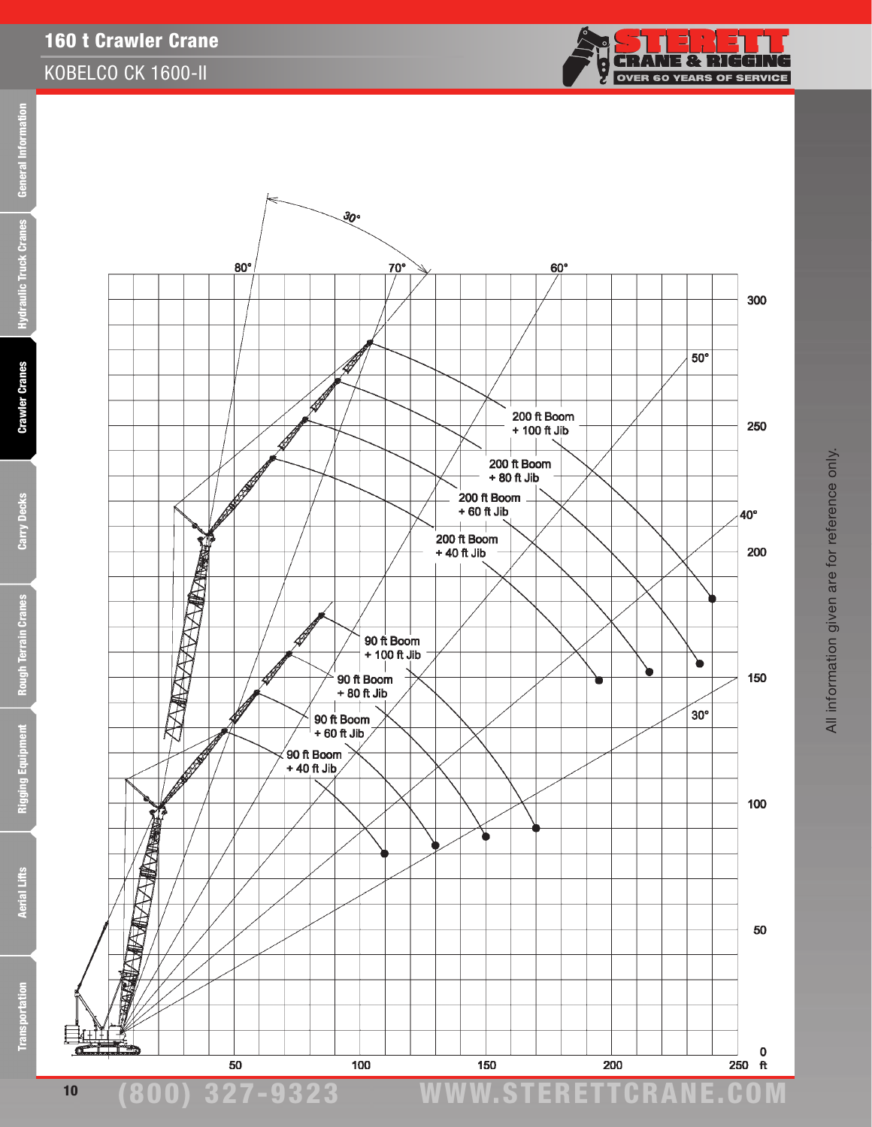



**Transportation**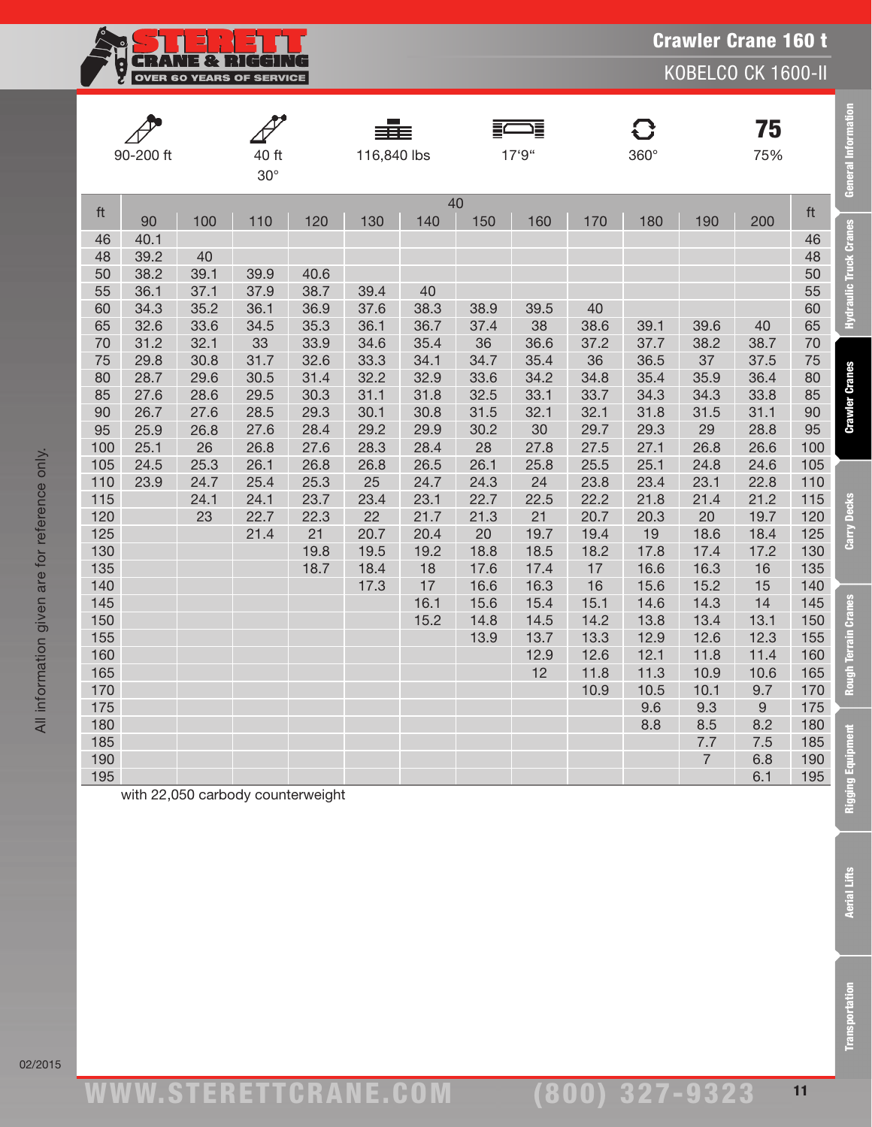**CRANE & RIGGING** Ş OVER 60 YEARS OF SERVICE

KOBELCO CK 1600-II

|     | 90-200 ft |      | 40 ft<br>$30^\circ$               |      | 116,840 lbs |      |           | 17'9" |      | <b>C</b><br>360° |                | 75<br>75%   |     | <b>General Information</b>    |
|-----|-----------|------|-----------------------------------|------|-------------|------|-----------|-------|------|------------------|----------------|-------------|-----|-------------------------------|
| ft  | 90        | 100  | 110                               | 120  | 130         | 140  | 40<br>150 | 160   | 170  | 180              | 190            | 200         | ft  |                               |
| 46  | 40.1      |      |                                   |      |             |      |           |       |      |                  |                |             | 46  | <b>Hydraulic Truck Cranes</b> |
| 48  | 39.2      | 40   |                                   |      |             |      |           |       |      |                  |                |             | 48  |                               |
| 50  | 38.2      | 39.1 | 39.9                              | 40.6 |             |      |           |       |      |                  |                |             | 50  |                               |
| 55  | 36.1      | 37.1 | 37.9                              | 38.7 | 39.4        | 40   |           |       |      |                  |                |             | 55  |                               |
| 60  | 34.3      | 35.2 | 36.1                              | 36.9 | 37.6        | 38.3 | 38.9      | 39.5  | 40   |                  |                |             | 60  |                               |
| 65  | 32.6      | 33.6 | 34.5                              | 35.3 | 36.1        | 36.7 | 37.4      | 38    | 38.6 | 39.1             | 39.6           | 40          | 65  |                               |
| 70  | 31.2      | 32.1 | 33                                | 33.9 | 34.6        | 35.4 | 36        | 36.6  | 37.2 | 37.7             | 38.2           | 38.7        | 70  |                               |
| 75  | 29.8      | 30.8 | 31.7                              | 32.6 | 33.3        | 34.1 | 34.7      | 35.4  | 36   | 36.5             | 37             | 37.5        | 75  |                               |
| 80  | 28.7      | 29.6 | 30.5                              | 31.4 | 32.2        | 32.9 | 33.6      | 34.2  | 34.8 | 35.4             | 35.9           | 36.4        | 80  | <b>Crawler Cranes</b>         |
| 85  | 27.6      | 28.6 | 29.5                              | 30.3 | 31.1        | 31.8 | 32.5      | 33.1  | 33.7 | 34.3             | 34.3           | 33.8        | 85  |                               |
| 90  | 26.7      | 27.6 | 28.5                              | 29.3 | 30.1        | 30.8 | 31.5      | 32.1  | 32.1 | 31.8             | 31.5           | 31.1        | 90  |                               |
| 95  | 25.9      | 26.8 | 27.6                              | 28.4 | 29.2        | 29.9 | 30.2      | 30    | 29.7 | 29.3             | 29             | 28.8        | 95  |                               |
| 100 | 25.1      | 26   | 26.8                              | 27.6 | 28.3        | 28.4 | 28        | 27.8  | 27.5 | 27.1             | 26.8           | 26.6        | 100 |                               |
| 105 | 24.5      | 25.3 | 26.1                              | 26.8 | 26.8        | 26.5 | 26.1      | 25.8  | 25.5 | 25.1             | 24.8           | 24.6        | 105 |                               |
| 110 | 23.9      | 24.7 | 25.4                              | 25.3 | 25          | 24.7 | 24.3      | 24    | 23.8 | 23.4             | 23.1           | 22.8        | 110 |                               |
| 115 |           | 24.1 | 24.1                              | 23.7 | 23.4        | 23.1 | 22.7      | 22.5  | 22.2 | 21.8             | 21.4           | 21.2        | 115 |                               |
| 120 |           | 23   | 22.7                              | 22.3 | 22          | 21.7 | 21.3      | 21    | 20.7 | 20.3             | 20             | 19.7        | 120 | Carry Decks                   |
| 125 |           |      | 21.4                              | 21   | 20.7        | 20.4 | 20        | 19.7  | 19.4 | 19               | 18.6           | 18.4        | 125 |                               |
| 130 |           |      |                                   | 19.8 | 19.5        | 19.2 | 18.8      | 18.5  | 18.2 | 17.8             | 17.4           | 17.2        | 130 |                               |
| 135 |           |      |                                   | 18.7 | 18.4        | 18   | 17.6      | 17.4  | 17   | 16.6             | 16.3           | 16          | 135 |                               |
| 140 |           |      |                                   |      | 17.3        | 17   | 16.6      | 16.3  | 16   | 15.6             | 15.2           | 15          | 140 |                               |
| 145 |           |      |                                   |      |             | 16.1 | 15.6      | 15.4  | 15.1 | 14.6             | 14.3           | 14          | 145 |                               |
| 150 |           |      |                                   |      |             | 15.2 | 14.8      | 14.5  | 14.2 | 13.8             | 13.4           | 13.1        | 150 |                               |
| 155 |           |      |                                   |      |             |      | 13.9      | 13.7  | 13.3 | 12.9             | 12.6           | 12.3        | 155 |                               |
| 160 |           |      |                                   |      |             |      |           | 12.9  | 12.6 | 12.1             | 11.8           | 11.4        | 160 | Rough Terrain Cranes          |
| 165 |           |      |                                   |      |             |      |           | 12    | 11.8 | 11.3             | 10.9           | 10.6        | 165 |                               |
| 170 |           |      |                                   |      |             |      |           |       | 10.9 | 10.5             | 10.1           | 9.7         | 170 |                               |
| 175 |           |      |                                   |      |             |      |           |       |      | 9.6              | 9.3            | $\mathsf 9$ | 175 |                               |
| 180 |           |      |                                   |      |             |      |           |       |      | 8.8              | 8.5            | 8.2         | 180 |                               |
| 185 |           |      |                                   |      |             |      |           |       |      |                  | 7.7            | 7.5         | 185 |                               |
| 190 |           |      |                                   |      |             |      |           |       |      |                  | $\overline{7}$ | 6.8         | 190 |                               |
| 195 |           |      |                                   |      |             |      |           |       |      |                  |                | 6.1         | 195 |                               |
|     |           |      | with 22,050 carbody counterweight |      |             |      |           |       |      |                  |                |             |     | <b>Rigging Equipment</b>      |

All information given are for reference only.

All information given are for reference only.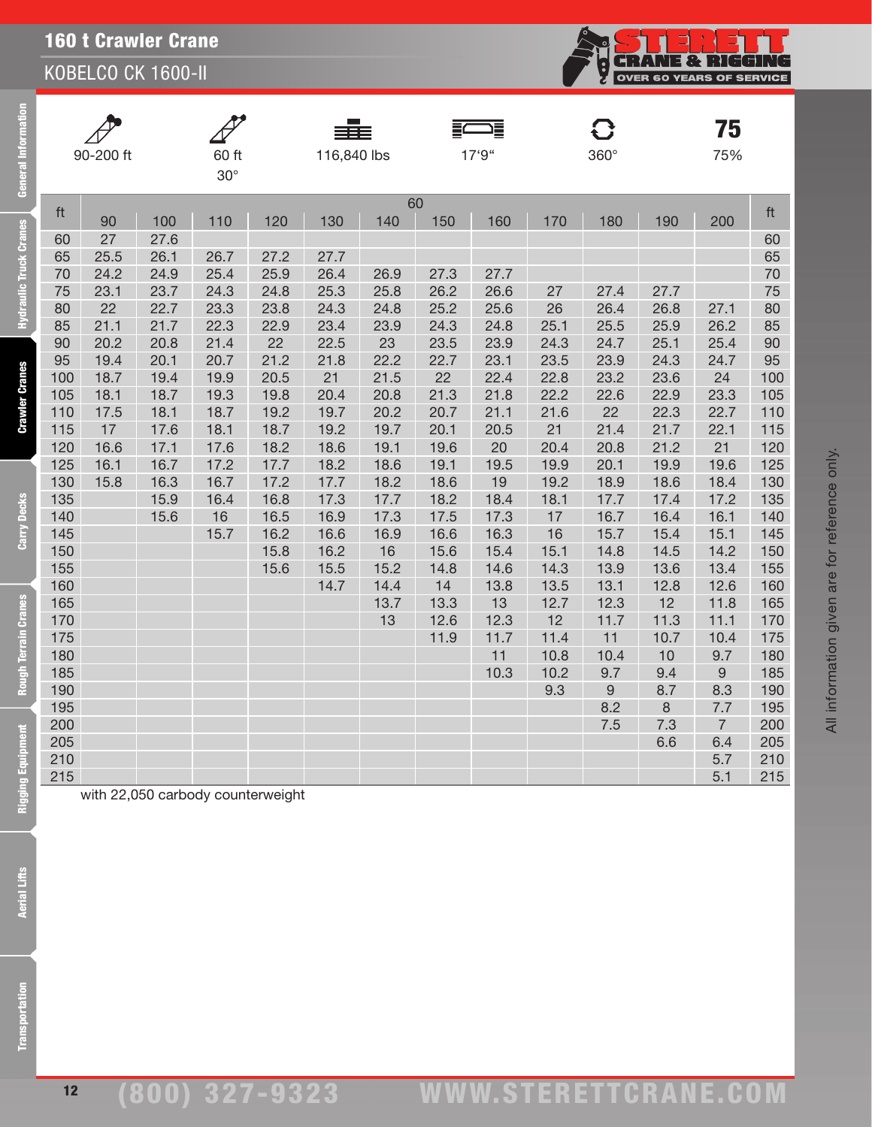KOBELCO CK 1600-II

| ation                 |            | 90-200 ft  |              | 60 ft                             |              | 116,840 lbs  |              |              | 這<br>17'9"   |            | O<br>$360^\circ$ |              | 75<br>75%      |            |
|-----------------------|------------|------------|--------------|-----------------------------------|--------------|--------------|--------------|--------------|--------------|------------|------------------|--------------|----------------|------------|
| General Inf           |            |            |              | $30^\circ$                        |              |              |              |              |              |            |                  |              |                |            |
|                       | ft         |            |              |                                   |              |              |              | 60           |              |            |                  |              |                | ft         |
|                       |            | 90         | 100          | 110                               | 120          | 130          | 140          | 150          | 160          | 170        | 180              | 190          | 200            |            |
| draulic Truck Cranes  | 60         | 27         | 27.6         |                                   |              |              |              |              |              |            |                  |              |                | 60         |
|                       | 65         | 25.5       | 26.1         | 26.7                              | 27.2         | 27.7         |              |              |              |            |                  |              |                | 65         |
|                       | 70         | 24.2       | 24.9         | 25.4                              | 25.9         | 26.4         | 26.9         | 27.3         | 27.7         |            |                  |              |                | 70         |
|                       | 75         | 23.1       | 23.7         | 24.3                              | 24.8         | 25.3         | 25.8         | 26.2         | 26.6         | 27         | 27.4             | 27.7         |                | 75         |
| Ě                     | 80<br>85   | 22<br>21.1 | 22.7<br>21.7 | 23.3<br>22.3                      | 23.8<br>22.9 | 24.3<br>23.4 | 24.8<br>23.9 | 25.2<br>24.3 | 25.6<br>24.8 | 26<br>25.1 | 26.4<br>25.5     | 26.8<br>25.9 | 27.1<br>26.2   | 80<br>85   |
|                       | 90         | 20.2       | 20.8         | 21.4                              | 22           | 22.5         | 23           | 23.5         | 23.9         | 24.3       | 24.7             | 25.1         | 25.4           | 90         |
|                       | 95         | 19.4       | 20.1         | 20.7                              | 21.2         | 21.8         | 22.2         | 22.7         | 23.1         | 23.5       | 23.9             | 24.3         | 24.7           | 95         |
|                       | 100        | 18.7       | 19.4         | 19.9                              | 20.5         | 21           | 21.5         | 22           | 22.4         | 22.8       | 23.2             | 23.6         | 24             | 100        |
|                       | 105        | 18.1       | 18.7         | 19.3                              | 19.8         | 20.4         | 20.8         | 21.3         | 21.8         | 22.2       | 22.6             | 22.9         | 23.3           | 105        |
| <b>Crawler Cranes</b> | 110        | 17.5       | 18.1         | 18.7                              | 19.2         | 19.7         | 20.2         | 20.7         | 21.1         | 21.6       | 22               | 22.3         | 22.7           | 110        |
|                       | 115        | 17         | 17.6         | 18.1                              | 18.7         | 19.2         | 19.7         | 20.1         | 20.5         | 21         | 21.4             | 21.7         | 22.1           | 115        |
|                       | 120        | 16.6       | 17.1         | 17.6                              | 18.2         | 18.6         | 19.1         | 19.6         | 20           | 20.4       | 20.8             | 21.2         | 21             | 120        |
|                       | 125        | 16.1       | 16.7         | 17.2                              | 17.7         | 18.2         | 18.6         | 19.1         | 19.5         | 19.9       | 20.1             | 19.9         | 19.6           | 125        |
|                       | 130        | 15.8       | 16.3         | 16.7                              | 17.2         | 17.7         | 18.2         | 18.6         | 19           | 19.2       | 18.9             | 18.6         | 18.4           | 130        |
| <b>Carry Decks</b>    | 135        |            | 15.9         | 16.4                              | 16.8         | 17.3         | 17.7         | 18.2         | 18.4         | 18.1       | 17.7             | 17.4         | 17.2           | 135        |
|                       | 140        |            | 15.6         | 16                                | 16.5         | 16.9         | 17.3         | 17.5         | 17.3         | 17         | 16.7             | 16.4         | 16.1           | 140        |
|                       | 145        |            |              | 15.7                              | 16.2         | 16.6         | 16.9         | 16.6<br>15.6 | 16.3         | 16<br>15.1 | 15.7             | 15.4<br>14.5 | 15.1           | 145<br>150 |
|                       | 150<br>155 |            |              |                                   | 15.8<br>15.6 | 16.2<br>15.5 | 16<br>15.2   | 14.8         | 15.4<br>14.6 | 14.3       | 14.8<br>13.9     | 13.6         | 14.2<br>13.4   | 155        |
|                       | 160        |            |              |                                   |              | 14.7         | 14.4         | 14           | 13.8         | 13.5       | 13.1             | 12.8         | 12.6           | 160        |
|                       | 165        |            |              |                                   |              |              | 13.7         | 13.3         | 13           | 12.7       | 12.3             | 12           | 11.8           | 165        |
|                       | 170        |            |              |                                   |              |              | 13           | 12.6         | 12.3         | 12         | 11.7             | 11.3         | 11.1           | 170        |
|                       | 175        |            |              |                                   |              |              |              | 11.9         | 11.7         | 11.4       | 11               | 10.7         | 10.4           | 175        |
| Rough Terrain Cranes  | 180        |            |              |                                   |              |              |              |              | 11           | 10.8       | 10.4             | 10           | 9.7            | 180        |
|                       | 185        |            |              |                                   |              |              |              |              | 10.3         | 10.2       | 9.7              | 9.4          | 9              | 185        |
|                       | 190        |            |              |                                   |              |              |              |              |              | 9.3        | 9                | 8.7          | 8.3            | 190        |
|                       | 195        |            |              |                                   |              |              |              |              |              |            | 8.2              | 8            | 7.7            | 195        |
| É                     | 200        |            |              |                                   |              |              |              |              |              |            | 7.5              | 7.3          | $\overline{7}$ | 200        |
|                       | 205<br>210 |            |              |                                   |              |              |              |              |              |            |                  | 6.6          | 6.4<br>5.7     | 205<br>210 |
|                       | 215        |            |              |                                   |              |              |              |              |              |            |                  |              | 5.1            | 215        |
| Rigging Equi          |            |            |              | with 22,050 carbody counterweight |              |              |              |              |              |            |                  |              |                |            |
|                       |            |            |              |                                   |              |              |              |              |              |            |                  |              |                |            |
|                       |            |            |              |                                   |              |              |              |              |              |            |                  |              |                |            |
| <b>Aerial Lifts</b>   |            |            |              |                                   |              |              |              |              |              |            |                  |              |                |            |
|                       |            |            |              |                                   |              |              |              |              |              |            |                  |              |                |            |
|                       |            |            |              |                                   |              |              |              |              |              |            |                  |              |                |            |
|                       |            |            |              |                                   |              |              |              |              |              |            |                  |              |                |            |
|                       |            |            |              |                                   |              |              |              |              |              |            |                  |              |                |            |
|                       |            |            |              |                                   |              |              |              |              |              |            |                  |              |                |            |
| portation             |            |            |              |                                   |              |              |              |              |              |            |                  |              |                |            |
|                       |            |            |              |                                   |              |              |              |              |              |            |                  |              |                |            |
|                       |            |            |              |                                   |              |              |              |              |              |            |                  |              |                |            |

**Aerial Lifts** 

E

**CHANE & RIGGING** 

Ş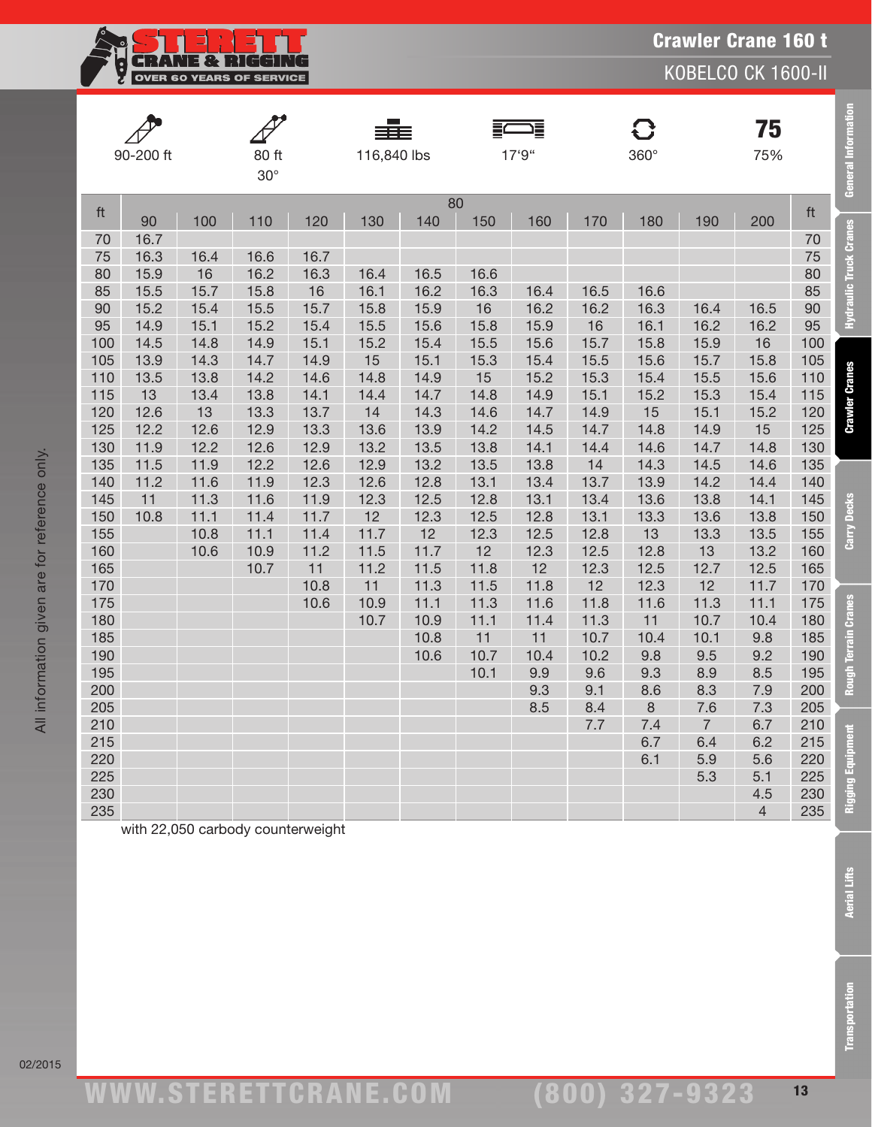**CRANE & RIGGIN**  $\overline{\mathbb{F}}$ <u>i</u> OVER 60 YEARS OF SERVICE

KOBELCO CK 1600-II

| 90-200 ft  |      |              |                     |              |             |            |            |              |              |            |                | 75             |            | General Information           |
|------------|------|--------------|---------------------|--------------|-------------|------------|------------|--------------|--------------|------------|----------------|----------------|------------|-------------------------------|
|            |      |              | 80 ft<br>$30^\circ$ |              | 116,840 lbs |            |            | 17'9"        |              | 360°       |                | 75%            |            |                               |
| ft         | 90   | 100          | 110                 | 120          | 130         | 140        | 80<br>150  | 160          | 170          | 180        | 190            | 200            | ft         |                               |
| 70         | 16.7 |              |                     |              |             |            |            |              |              |            |                |                | 70         | <b>Hydraulic Truck Cranes</b> |
| 75         | 16.3 | 16.4         | 16.6                | 16.7         |             |            |            |              |              |            |                |                | 75         |                               |
| 80         | 15.9 | 16           | 16.2                | 16.3         | 16.4        | 16.5       | 16.6       |              |              |            |                |                | 80         |                               |
| 85         | 15.5 | 15.7         | 15.8                | 16           | 16.1        | 16.2       | 16.3       | 16.4         | 16.5         | 16.6       |                |                | 85         |                               |
| 90         | 15.2 | 15.4         | 15.5                | 15.7         | 15.8        | 15.9       | 16         | 16.2         | 16.2         | 16.3       | 16.4           | 16.5           | 90         |                               |
| 95         | 14.9 | 15.1         | 15.2                | 15.4         | 15.5        | 15.6       | 15.8       | 15.9         | 16           | 16.1       | 16.2           | 16.2           | 95         |                               |
| 100        | 14.5 | 14.8         | 14.9                | 15.1         | 15.2        | 15.4       | 15.5       | 15.6         | 15.7         | 15.8       | 15.9           | 16             | 100        |                               |
| 105        | 13.9 | 14.3         | 14.7                | 14.9         | 15          | 15.1       | 15.3       | 15.4         | 15.5         | 15.6       | 15.7           | 15.8           | 105        |                               |
| 110        | 13.5 | 13.8         | 14.2                | 14.6         | 14.8        | 14.9       | 15         | 15.2         | 15.3         | 15.4       | 15.5           | 15.6           | 110        | <b>Crawler Cranes</b>         |
| 115        | 13   | 13.4         | 13.8                | 14.1         | 14.4        | 14.7       | 14.8       | 14.9         | 15.1         | 15.2       | 15.3           | 15.4           | 115        |                               |
| 120        | 12.6 | 13           | 13.3                | 13.7         | 14          | 14.3       | 14.6       | 14.7         | 14.9         | 15         | 15.1           | 15.2           | 120        |                               |
| 125        | 12.2 | 12.6         | 12.9                | 13.3         | 13.6        | 13.9       | 14.2       | 14.5         | 14.7         | 14.8       | 14.9           | 15             | 125        |                               |
| 130        | 11.9 | 12.2         | 12.6                | 12.9         | 13.2        | 13.5       | 13.8       | 14.1         | 14.4         | 14.6       | 14.7           | 14.8           | 130        |                               |
| 135        | 11.5 | 11.9         | 12.2                | 12.6         | 12.9        | 13.2       | 13.5       | 13.8         | 14           | 14.3       | 14.5           | 14.6           | 135        |                               |
| 140        | 11.2 | 11.6         | 11.9                | 12.3         | 12.6        | 12.8       | 13.1       | 13.4         | 13.7         | 13.9       | 14.2           | 14.4           | 140        |                               |
| 145        | 11   | 11.3         | 11.6                | 11.9         | 12.3        | 12.5       | 12.8       | 13.1         | 13.4         | 13.6       | 13.8           | 14.1           | 145        | Carry Decks                   |
| 150<br>155 | 10.8 | 11.1<br>10.8 | 11.4<br>11.1        | 11.7         | 12<br>11.7  | 12.3<br>12 | 12.5       | 12.8         | 13.1<br>12.8 | 13.3<br>13 | 13.6<br>13.3   | 13.8<br>13.5   | 150<br>155 |                               |
| 160        |      | 10.6         | 10.9                | 11.4<br>11.2 | 11.5        | 11.7       | 12.3<br>12 | 12.5<br>12.3 | 12.5         | 12.8       | 13             | 13.2           | 160        |                               |
| 165        |      |              | 10.7                | 11           | 11.2        | 11.5       | 11.8       | 12           | 12.3         | 12.5       | 12.7           | 12.5           | 165        |                               |
| 170        |      |              |                     | 10.8         | 11          | 11.3       | 11.5       | 11.8         | 12           | 12.3       | 12             | 11.7           | 170        |                               |
| 175        |      |              |                     | 10.6         | 10.9        | 11.1       | 11.3       | 11.6         | 11.8         | 11.6       | 11.3           | 11.1           | 175        |                               |
| 180        |      |              |                     |              | 10.7        | 10.9       | 11.1       | 11.4         | 11.3         | 11         | 10.7           | 10.4           | 180        | Rough Terrain Cranes          |
| 185        |      |              |                     |              |             | 10.8       | 11         | 11           | 10.7         | 10.4       | 10.1           | 9.8            | 185        |                               |
| 190        |      |              |                     |              |             | 10.6       | 10.7       | 10.4         | 10.2         | 9.8        | 9.5            | 9.2            | 190        |                               |
| 195        |      |              |                     |              |             |            | 10.1       | 9.9          | 9.6          | 9.3        | 8.9            | 8.5            | 195        |                               |
| 200        |      |              |                     |              |             |            |            | 9.3          | 9.1          | 8.6        | 8.3            | 7.9            | 200        |                               |
| 205        |      |              |                     |              |             |            |            | 8.5          | 8.4          | $\,8\,$    | 7.6            | 7.3            | 205        |                               |
| 210        |      |              |                     |              |             |            |            |              | 7.7          | 7.4        | $\overline{7}$ | 6.7            | 210        |                               |
| 215        |      |              |                     |              |             |            |            |              |              | 6.7        | 6.4            | 6.2            | 215        | Rigging Equipment             |
| 220        |      |              |                     |              |             |            |            |              |              | 6.1        | 5.9            | 5.6            | 220        |                               |
| 225        |      |              |                     |              |             |            |            |              |              |            | 5.3            | 5.1            | 225        |                               |
| 230        |      |              |                     |              |             |            |            |              |              |            |                | 4.5            | 230        |                               |
| 235        |      |              |                     |              |             |            |            |              |              |            |                | $\overline{4}$ | 235        |                               |

with 22,050 carbody counterweight

All information given are for reference only.

All information given are for reference only.